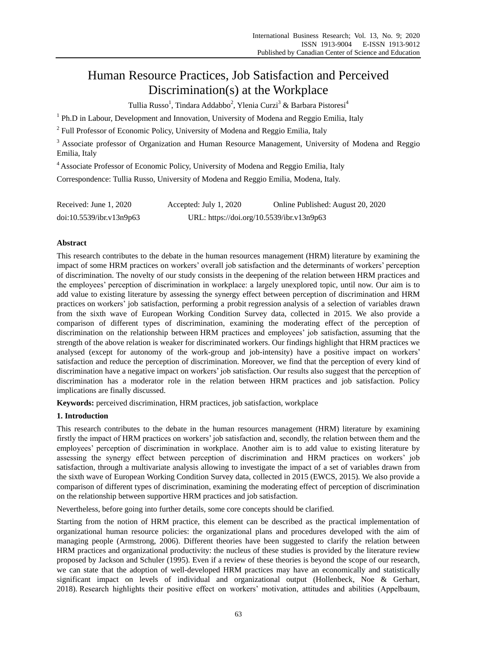# Human Resource Practices, Job Satisfaction and Perceived Discrimination(s) at the Workplace

Tullia Russo<sup>1</sup>, Tindara Addabbo<sup>2</sup>, Ylenia Curzi<sup>3</sup> & Barbara Pistoresi<sup>4</sup>

<sup>1</sup> Ph.D in Labour, Development and Innovation, University of Modena and Reggio Emilia, Italy

<sup>2</sup> Full Professor of Economic Policy, University of Modena and Reggio Emilia, Italy

<sup>3</sup> Associate professor of Organization and Human Resource Management, University of Modena and Reggio Emilia, Italy

<sup>4</sup>Associate Professor of Economic Policy, University of Modena and Reggio Emilia, Italy

Correspondence: Tullia Russo, University of Modena and Reggio Emilia, Modena, Italy.

| Received: June 1, 2020   | Accepted: July 1, 2020                    | Online Published: August 20, 2020 |
|--------------------------|-------------------------------------------|-----------------------------------|
| doi:10.5539/ibr.v13n9p63 | URL: https://doi.org/10.5539/ibr.v13n9p63 |                                   |

# **Abstract**

This research contributes to the debate in the human resources management (HRM) literature by examining the impact of some HRM practices on workers" overall job satisfaction and the determinants of workers" perception of discrimination. The novelty of our study consists in the deepening of the relation between HRM practices and the employees" perception of discrimination in workplace: a largely unexplored topic, until now. Our aim is to add value to existing literature by assessing the synergy effect between perception of discrimination and HRM practices on workers" job satisfaction, performing a probit regression analysis of a selection of variables drawn from the sixth wave of European Working Condition Survey data, collected in 2015. We also provide a comparison of different types of discrimination, examining the moderating effect of the perception of discrimination on the relationship between HRM practices and employees" job satisfaction, assuming that the strength of the above relation is weaker for discriminated workers. Our findings highlight that HRM practices we analysed (except for autonomy of the work-group and job-intensity) have a positive impact on workers" satisfaction and reduce the perception of discrimination. Moreover, we find that the perception of every kind of discrimination have a negative impact on workers" job satisfaction. Our results also suggest that the perception of discrimination has a moderator role in the relation between HRM practices and job satisfaction. Policy implications are finally discussed.

**Keywords:** perceived discrimination, HRM practices, job satisfaction, workplace

# **1. Introduction**

This research contributes to the debate in the human resources management (HRM) literature by examining firstly the impact of HRM practices on workers" job satisfaction and, secondly, the relation between them and the employees" perception of discrimination in workplace. Another aim is to add value to existing literature by assessing the synergy effect between perception of discrimination and HRM practices on workers" job satisfaction, through a multivariate analysis allowing to investigate the impact of a set of variables drawn from the sixth wave of European Working Condition Survey data, collected in 2015 (EWCS, 2015). We also provide a comparison of different types of discrimination, examining the moderating effect of perception of discrimination on the relationship between supportive HRM practices and job satisfaction.

Nevertheless, before going into further details, some core concepts should be clarified.

Starting from the notion of HRM practice, this element can be described as the practical implementation of organizational human resource policies: the organizational plans and procedures developed with the aim of managing people (Armstrong, 2006). Different theories have been suggested to clarify the relation between HRM practices and organizational productivity: the nucleus of these studies is provided by the literature review proposed by Jackson and Schuler (1995). Even if a review of these theories is beyond the scope of our research, we can state that the adoption of well-developed HRM practices may have an economically and statistically significant impact on levels of individual and organizational output (Hollenbeck, Noe & Gerhart, 2018). Research highlights their positive effect on workers" motivation, attitudes and abilities (Appelbaum,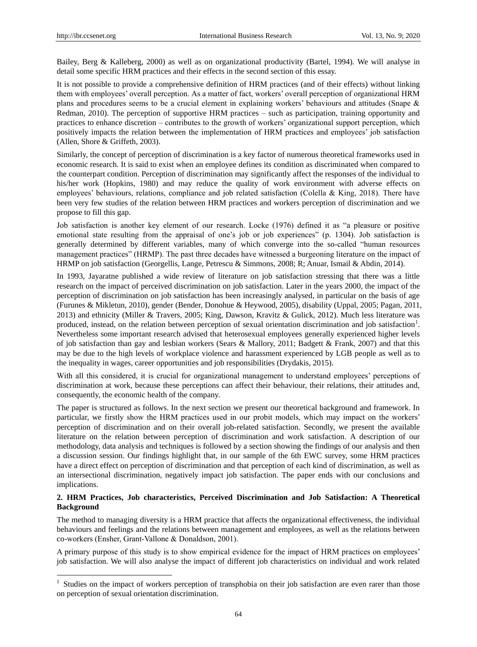-

Bailey, Berg & Kalleberg, 2000) as well as on organizational productivity (Bartel, 1994). We will analyse in detail some specific HRM practices and their effects in the second section of this essay.

It is not possible to provide a comprehensive definition of HRM practices (and of their effects) without linking them with employees" overall perception. As a matter of fact, workers" overall perception of organizational HRM plans and procedures seems to be a crucial element in explaining workers" behaviours and attitudes (Snape & Redman, 2010). The perception of supportive HRM practices – such as participation, training opportunity and practices to enhance discretion – contributes to the growth of workers" organizational support perception, which positively impacts the relation between the implementation of HRM practices and employees" job satisfaction (Allen, Shore & Griffeth, 2003).

Similarly, the concept of perception of discrimination is a key factor of numerous theoretical frameworks used in economic research. It is said to exist when an employee defines its condition as discriminated when compared to the counterpart condition. Perception of discrimination may significantly affect the responses of the individual to his/her work (Hopkins, 1980) and may reduce the quality of work environment with adverse effects on employees' behaviours, relations, compliance and job related satisfaction (Colella & King, 2018). There have been very few studies of the relation between HRM practices and workers perception of discrimination and we propose to fill this gap.

Job satisfaction is another key element of our research. Locke (1976) defined it as "a pleasure or positive emotional state resulting from the appraisal of one's job or job experiences" (p. 1304). Job satisfaction is generally determined by different variables, many of which converge into the so-called "human resources management practices" (HRMP). The past three decades have witnessed a burgeoning literature on the impact of HRMP on job satisfaction (Georgellis, Lange, Petrescu & Simmons, 2008; R; Anuar, Ismail & Abdin, 2014).

In 1993, Jayaratne published a wide review of literature on job satisfaction stressing that there was a little research on the impact of perceived discrimination on job satisfaction. Later in the years 2000, the impact of the perception of discrimination on job satisfaction has been increasingly analysed, in particular on the basis of age (Furunes & Mikletun, 2010), gender (Bender, Donohue & Heywood, 2005), disability (Uppal, 2005; Pagan, 2011, 2013) and ethnicity (Miller & Travers, 2005; King, Dawson, Kravitz & Gulick, 2012). Much less literature was produced, instead, on the relation between perception of sexual orientation discrimination and job satisfaction<sup>1</sup>. Nevertheless some important research advised that heterosexual employees generally experienced higher levels of job satisfaction than gay and lesbian workers (Sears & Mallory, 2011; Badgett & Frank, 2007) and that this may be due to the high levels of workplace violence and harassment experienced by LGB people as well as to the inequality in wages, career opportunities and job responsibilities (Drydakis, 2015).

With all this considered, it is crucial for organizational management to understand employees' perceptions of discrimination at work, because these perceptions can affect their behaviour, their relations, their attitudes and, consequently, the economic health of the company.

The paper is structured as follows. In the next section we present our theoretical background and framework. In particular, we firstly show the HRM practices used in our probit models, which may impact on the workers" perception of discrimination and on their overall job-related satisfaction. Secondly, we present the available literature on the relation between perception of discrimination and work satisfaction. A description of our methodology, data analysis and techniques is followed by a section showing the findings of our analysis and then a discussion session. Our findings highlight that, in our sample of the 6th EWC survey, some HRM practices have a direct effect on perception of discrimination and that perception of each kind of discrimination, as well as an intersectional discrimination, negatively impact job satisfaction. The paper ends with our conclusions and implications.

# **2. HRM Practices, Job characteristics, Perceived Discrimination and Job Satisfaction: A Theoretical Background**

The method to managing diversity is a HRM practice that affects the organizational effectiveness, the individual behaviours and feelings and the relations between management and employees, as well as the relations between co-workers (Ensher, Grant‐Vallone & Donaldson, 2001).

A primary purpose of this study is to show empirical evidence for the impact of HRM practices on employees' job satisfaction. We will also analyse the impact of different job characteristics on individual and work related

<sup>&</sup>lt;sup>1</sup> Studies on the impact of workers perception of transphobia on their job satisfaction are even rarer than those on perception of sexual orientation discrimination.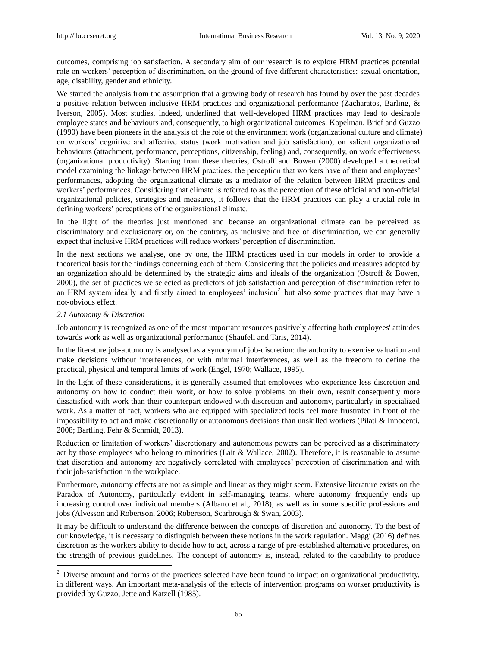outcomes, comprising job satisfaction. A secondary aim of our research is to explore HRM practices potential role on workers" perception of discrimination, on the ground of five different characteristics: sexual orientation, age, disability, gender and ethnicity.

We started the analysis from the assumption that a growing body of research has found by over the past decades a positive relation between inclusive HRM practices and organizational performance (Zacharatos, Barling, & Iverson, 2005). Most studies, indeed, underlined that well-developed HRM practices may lead to desirable employee states and behaviours and, consequently, to high organizational outcomes. Kopelman, Brief and Guzzo (1990) have been pioneers in the analysis of the role of the environment work (organizational culture and climate) on workers" cognitive and affective status (work motivation and job satisfaction), on salient organizational behaviours (attachment, performance, perceptions, citizenship, feeling) and, consequently, on work effectiveness (organizational productivity). Starting from these theories, Ostroff and Bowen (2000) developed a theoretical model examining the linkage between HRM practices, the perception that workers have of them and employees' performances, adopting the organizational climate as a mediator of the relation between HRM practices and workers" performances. Considering that climate is referred to as the perception of these official and non-official organizational policies, strategies and measures, it follows that the HRM practices can play a crucial role in defining workers" perceptions of the organizational climate.

In the light of the theories just mentioned and because an organizational climate can be perceived as discriminatory and exclusionary or, on the contrary, as inclusive and free of discrimination, we can generally expect that inclusive HRM practices will reduce workers" perception of discrimination.

In the next sections we analyse, one by one, the HRM practices used in our models in order to provide a theoretical basis for the findings concerning each of them. Considering that the policies and measures adopted by an organization should be determined by the strategic aims and ideals of the organization (Ostroff & Bowen, 2000), the set of practices we selected as predictors of job satisfaction and perception of discrimination refer to an HRM system ideally and firstly aimed to employees' inclusion<sup>2</sup> but also some practices that may have a not-obvious effect.

# *2.1 Autonomy & Discretion*

-

Job autonomy is recognized as one of the most important resources positively affecting both employees' attitudes towards work as well as organizational performance (Shaufeli and Taris, 2014).

In the literature job-autonomy is analysed as a synonym of job-discretion: the authority to exercise valuation and make decisions without interferences, or with minimal interferences, as well as the freedom to define the practical, physical and temporal limits of work (Engel, 1970; Wallace, 1995).

In the light of these considerations, it is generally assumed that employees who experience less discretion and autonomy on how to conduct their work, or how to solve problems on their own, result consequently more dissatisfied with work than their counterpart endowed with discretion and autonomy, particularly in specialized work. As a matter of fact, workers who are equipped with specialized tools feel more frustrated in front of the impossibility to act and make discretionally or autonomous decisions than unskilled workers (Pilati & Innocenti, 2008; Bartling, Fehr & Schmidt, 2013).

Reduction or limitation of workers" discretionary and autonomous powers can be perceived as a discriminatory act by those employees who belong to minorities (Lait & Wallace, 2002). Therefore, it is reasonable to assume that discretion and autonomy are negatively correlated with employees" perception of discrimination and with their job-satisfaction in the workplace.

Furthermore, autonomy effects are not as simple and linear as they might seem. Extensive literature exists on the Paradox of Autonomy, particularly evident in self-managing teams, where autonomy frequently ends up increasing control over individual members (Albano et al., 2018), as well as in some specific professions and jobs (Alvesson and Robertson, 2006; Robertson, Scarbrough & Swan, 2003).

It may be difficult to understand the difference between the concepts of discretion and autonomy. To the best of our knowledge, it is necessary to distinguish between these notions in the work regulation. Maggi (2016) defines discretion as the workers ability to decide how to act, across a range of pre-established alternative procedures, on the strength of previous guidelines. The concept of autonomy is, instead, related to the capability to produce

<sup>&</sup>lt;sup>2</sup> Diverse amount and forms of the practices selected have been found to impact on organizational productivity, in different ways. An important meta-analysis of the effects of intervention programs on worker productivity is provided by Guzzo, Jette and Katzell (1985).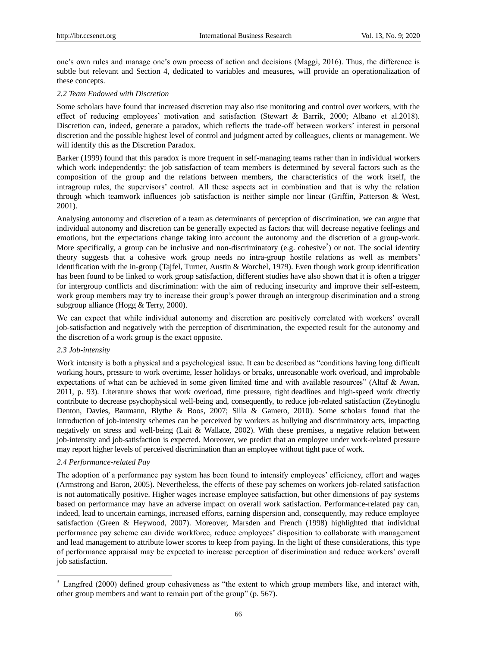one"s own rules and manage one"s own process of action and decisions (Maggi, 2016). Thus, the difference is subtle but relevant and Section 4, dedicated to variables and measures, will provide an operationalization of these concepts.

# *2.2 Team Endowed with Discretion*

Some scholars have found that increased discretion may also rise monitoring and control over workers, with the effect of reducing employees" motivation and satisfaction (Stewart & Barrik, 2000; Albano et al.2018). Discretion can, indeed, generate a paradox, which reflects the trade-off between workers" interest in personal discretion and the possible highest level of control and judgment acted by colleagues, clients or management. We will identify this as the Discretion Paradox.

Barker (1999) found that this paradox is more frequent in self-managing teams rather than in individual workers which work independently: the job satisfaction of team members is determined by several factors such as the composition of the group and the relations between members, the characteristics of the work itself, the intragroup rules, the supervisors" control. All these aspects act in combination and that is why the relation through which teamwork influences job satisfaction is neither simple nor linear (Griffin, Patterson & West, 2001).

Analysing autonomy and discretion of a team as determinants of perception of discrimination, we can argue that individual autonomy and discretion can be generally expected as factors that will decrease negative feelings and emotions, but the expectations change taking into account the autonomy and the discretion of a group-work. More specifically, a group can be inclusive and non-discriminatory (e.g. cohesive<sup>3</sup>) or not. The social identity theory suggests that a cohesive work group needs no intra-group hostile relations as well as members" identification with the in-group (Tajfel, Turner, Austin & Worchel, 1979). Even though work group identification has been found to be linked to work group satisfaction, different studies have also shown that it is often a trigger for intergroup conflicts and discrimination: with the aim of reducing insecurity and improve their self-esteem, work group members may try to increase their group"s power through an intergroup discrimination and a strong subgroup alliance (Hogg & Terry, 2000).

We can expect that while individual autonomy and discretion are positively correlated with workers" overall job-satisfaction and negatively with the perception of discrimination, the expected result for the autonomy and the discretion of a work group is the exact opposite.

# *2.3 Job-intensity*

Work intensity is both a physical and a psychological issue. It can be described as "conditions having long difficult working hours, pressure to work overtime, lesser holidays or breaks, unreasonable work overload, and improbable expectations of what can be achieved in some given limited time and with available resources" (Altaf & Awan, 2011, p. 93). Literature shows that work overload, time pressure, tight deadlines and high-speed work directly contribute to decrease psychophysical well-being and, consequently, to reduce job-related satisfaction (Zeytinoglu Denton, Davies, Baumann, Blythe & Boos, 2007; Silla & Gamero, 2010). Some scholars found that the introduction of job-intensity schemes can be perceived by workers as bullying and discriminatory acts, impacting negatively on stress and well-being (Lait & Wallace, 2002). With these premises, a negative relation between job-intensity and job-satisfaction is expected. Moreover, we predict that an employee under work-related pressure may report higher levels of perceived discrimination than an employee without tight pace of work.

#### *2.4 Performance-related Pay*

-

The adoption of a performance pay system has been found to intensify employees" efficiency, effort and wages [\(Armstrong and Baron, 2005\)](https://www.emerald.com/insight/content/doi/10.1108/13683040911006800/full/html?casa_token=UIMyustzL1EAAAAA:LxyIwCHiPuhRvkwTtQeyFOecAbuiP21stD9wUfQUIlfC7gP925HlM56byrfx2HoxPeuRGri8SEcqDCBcpnlZNL0SiKgYldTOx3KBo5Iu_EyibZzMj3o#b3). Nevertheless, the effects of these pay schemes on workers job-related satisfaction is not automatically positive. Higher wages increase employee satisfaction, but other dimensions of pay systems based on performance may have an adverse impact on overall work satisfaction. Performance-related pay can, indeed, lead to uncertain earnings, increased efforts, earning dispersion and, consequently, may reduce employee satisfaction (Green & Heywood, 2007). Moreover, Marsden and French (1998) highlighted that individual performance pay scheme can divide workforce, reduce employees" disposition to collaborate with management and lead management to attribute lower scores to keep from paying. In the light of these considerations, this type of performance appraisal may be expected to increase perception of discrimination and reduce workers" overall job satisfaction.

 $3$  Langfred (2000) defined group cohesiveness as "the extent to which group members like, and interact with, other group members and want to remain part of the group" (p. 567).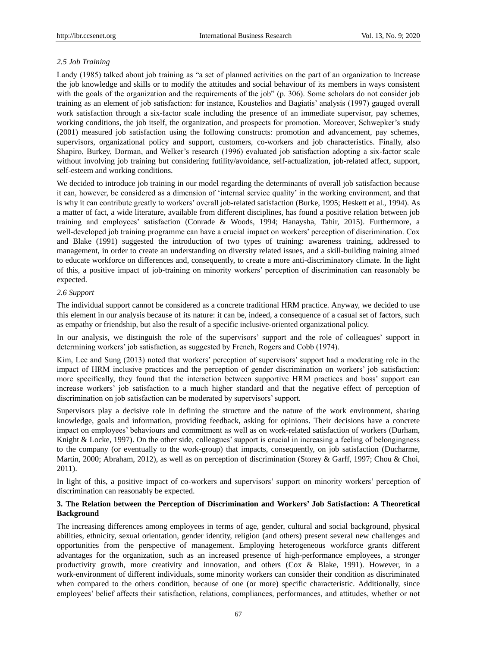# *2.5 Job Training*

Landy (1985) talked about job training as "a set of planned activities on the part of an organization to increase the job knowledge and skills or to modify the attitudes and social behaviour of its members in ways consistent with the goals of the organization and the requirements of the job" (p. 306). Some scholars do not consider job training as an element of job satisfaction: for instance, Koustelios and Bagiatis" analysis (1997) gauged overall work satisfaction through a six-factor scale including the presence of an immediate supervisor, pay schemes, working conditions, the job itself, the organization, and prospects for promotion. Moreover, Schwepker"s study (2001) measured job satisfaction using the following constructs: promotion and advancement, pay schemes, supervisors, organizational policy and support, customers, co-workers and job characteristics. Finally, also Shapiro, Burkey, Dorman, and Welker"s research (1996) evaluated job satisfaction adopting a six-factor scale without involving job training but considering futility/avoidance, self-actualization, job-related affect, support, self-esteem and working conditions.

We decided to introduce job training in our model regarding the determinants of overall job satisfaction because it can, however, be considered as a dimension of "internal service quality" in the working environment, and that is why it can contribute greatly to workers" overall job-related satisfaction (Burke, 1995; Heskett et al., 1994). As a matter of fact, a wide literature, available from different disciplines, has found a positive relation between job training and employees" satisfaction (Conrade & Woods, 1994; Hanaysha, Tahir, 2015). Furthermore, a well-developed job training programme can have a crucial impact on workers' perception of discrimination. Cox and Blake (1991) suggested the introduction of two types of training: awareness training, addressed to management, in order to create an understanding on diversity related issues, and a skill-building training aimed to educate workforce on differences and, consequently, to create a more anti-discriminatory climate. In the light of this, a positive impact of job-training on minority workers" perception of discrimination can reasonably be expected.

# *2.6 Support*

The individual support cannot be considered as a concrete traditional HRM practice. Anyway, we decided to use this element in our analysis because of its nature: it can be, indeed, a consequence of a casual set of factors, such as empathy or friendship, but also the result of a specific inclusive-oriented organizational policy.

In our analysis, we distinguish the role of the supervisors' support and the role of colleagues' support in determining workers" job satisfaction, as suggested by French, Rogers and Cobb (1974).

Kim, Lee and Sung (2013) noted that workers' perception of supervisors' support had a moderating role in the impact of HRM inclusive practices and the perception of gender discrimination on workers" job satisfaction: more specifically, they found that the interaction between supportive HRM practices and boss' support can increase workers" job satisfaction to a much higher standard and that the negative effect of perception of discrimination on job satisfaction can be moderated by supervisors' support.

Supervisors play a decisive role in defining the structure and the nature of the work environment, sharing knowledge, goals and information, providing feedback, asking for opinions. Their decisions have a concrete impact on employees" behaviours and commitment as well as on work-related satisfaction of workers (Durham, Knight & Locke, 1997). On the other side, colleagues' support is crucial in increasing a feeling of belongingness to the company (or eventually to the work-group) that impacts, consequently, on job satisfaction (Ducharme, Martin, 2000; Abraham, 2012), as well as on perception of discrimination (Storey & Garff, 1997; Chou & Choi, 2011).

In light of this, a positive impact of co-workers and supervisors' support on minority workers' perception of discrimination can reasonably be expected.

# **3. The Relation between the Perception of Discrimination and Workers' Job Satisfaction: A Theoretical Background**

The increasing differences among employees in terms of age, gender, cultural and social background, physical abilities, ethnicity, sexual orientation, gender identity, religion (and others) present several new challenges and opportunities from the perspective of management. Employing heterogeneous workforce grants different advantages for the organization, such as an increased presence of high-performance employees, a stronger productivity growth, more creativity and innovation, and others (Cox & Blake, 1991). However, in a work-environment of different individuals, some minority workers can consider their condition as discriminated when compared to the others condition, because of one (or more) specific characteristic. Additionally, since employees" belief affects their satisfaction, relations, compliances, performances, and attitudes, whether or not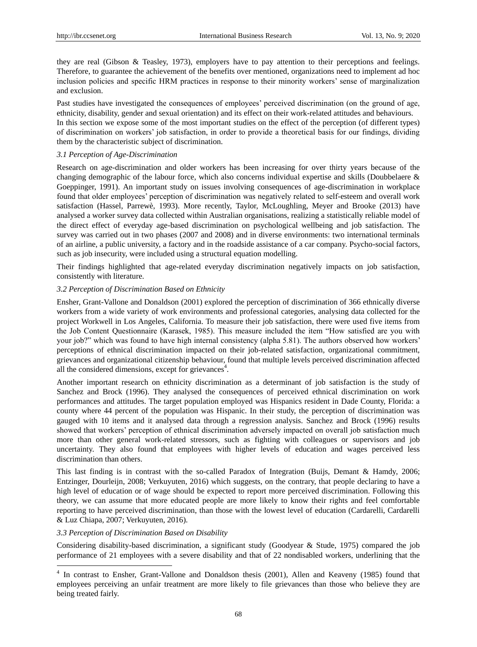they are real (Gibson & Teasley, 1973), employers have to pay attention to their perceptions and feelings. Therefore, to guarantee the achievement of the benefits over mentioned, organizations need to implement ad hoc inclusion policies and specific HRM practices in response to their minority workers" sense of marginalization and exclusion.

Past studies have investigated the consequences of employees" perceived discrimination (on the ground of age, ethnicity, disability, gender and sexual orientation) and its effect on their work-related attitudes and behaviours. In this section we expose some of the most important studies on the effect of the perception (of different types) of discrimination on workers" job satisfaction, in order to provide a theoretical basis for our findings, dividing them by the characteristic subject of discrimination.

## *3.1 Perception of Age-Discrimination*

Research on age-discrimination and older workers has been increasing for over thirty years because of the changing demographic of the labour force, which also concerns individual expertise and skills (Doubbelaere & Goeppinger, 1991). An important study on issues involving consequences of age-discrimination in workplace found that older employees" perception of discrimination was negatively related to self-esteem and overall work satisfaction (Hassel, Parrewè, 1993). More recently, Taylor, McLoughling, Meyer and Brooke (2013) have analysed a worker survey data collected within Australian organisations, realizing a statistically reliable model of the direct effect of everyday age-based discrimination on psychological wellbeing and job satisfaction. The survey was carried out in two phases (2007 and 2008) and in diverse environments: two international terminals of an airline, a public university, a factory and in the roadside assistance of a car company. Psycho-social factors, such as job insecurity, were included using a structural equation modelling.

Their findings highlighted that age-related everyday discrimination negatively impacts on job satisfaction, consistently with literature.

# *3.2 Perception of Discrimination Based on Ethnicity*

Ensher, Grant-Vallone and Donaldson (2001) explored the perception of discrimination of 366 ethnically diverse workers from a wide variety of work environments and professional categories, analysing data collected for the project Workwell in Los Angeles, California. To measure their job satisfaction, there were used five items from the Job Content Questionnaire (Karasek, 1985). This measure included the item "How satisfied are you with your job?" which was found to have high internal consistency (alpha 5.81). The authors observed how workers' perceptions of ethnical discrimination impacted on their job-related satisfaction, organizational commitment, grievances and organizational citizenship behaviour, found that multiple levels perceived discrimination affected all the considered dimensions, except for grievances<sup>4</sup>.

Another important research on ethnicity discrimination as a determinant of job satisfaction is the study of Sanchez and Brock (1996). They analysed the consequences of perceived ethnical discrimination on work performances and attitudes. The target population employed was Hispanics resident in Dade County, Florida: a county where 44 percent of the population was Hispanic. In their study, the perception of discrimination was gauged with 10 items and it analysed data through a regression analysis. Sanchez and Brock (1996) results showed that workers" perception of ethnical discrimination adversely impacted on overall job satisfaction much more than other general work-related stressors, such as fighting with colleagues or supervisors and job uncertainty. They also found that employees with higher levels of education and wages perceived less discrimination than others.

This last finding is in contrast with the so-called Paradox of Integration (Buijs, Demant & Hamdy, 2006; Entzinger, Dourleijn, 2008; Verkuyuten, 2016) which suggests, on the contrary, that people declaring to have a high level of education or of wage should be expected to report more perceived discrimination. Following this theory, we can assume that more educated people are more likely to know their rights and feel comfortable reporting to have perceived discrimination, than those with the lowest level of education (Cardarelli, Cardarelli & Luz Chiapa, 2007; Verkuyuten, 2016).

## *3.3 Perception of Discrimination Based on Disability*

-

Considering disability-based discrimination, a significant study (Goodyear & Stude, 1975) compared the job performance of 21 employees with a severe disability and that of 22 nondisabled workers, underlining that the

<sup>&</sup>lt;sup>4</sup> In contrast to Ensher, Grant-Vallone and Donaldson thesis (2001), Allen and Keaveny (1985) found that employees perceiving an unfair treatment are more likely to file grievances than those who believe they are being treated fairly.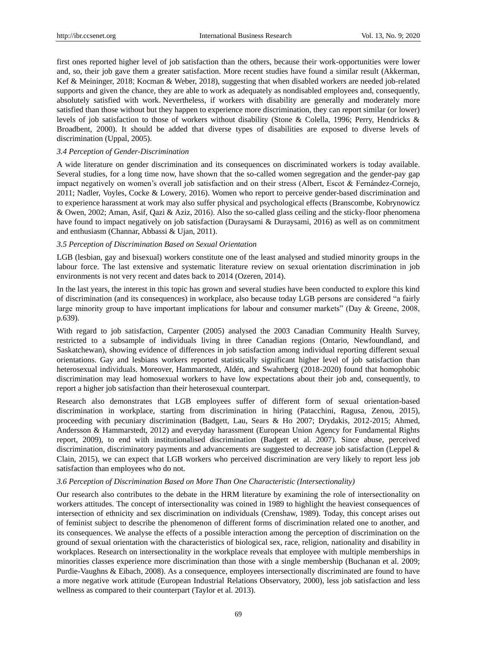first ones reported higher level of job satisfaction than the others, because their work-opportunities were lower and, so, their job gave them a greater satisfaction. More recent studies have found a similar result (Akkerman, Kef & Meininger, 2018; Kocman & Weber, 2018), suggesting that when disabled workers are needed job-related supports and given the chance, they are able to work as adequately as nondisabled employees and, consequently, absolutely satisfied with work. Nevertheless, if workers with disability are generally and moderately more satisfied than those without but they happen to experience more discrimination, they can report similar (or lower) levels of job satisfaction to those of workers without disability (Stone & Colella, 1996; Perry, Hendricks & Broadbent, 2000). It should be added that diverse types of disabilities are exposed to diverse levels of discrimination (Uppal, 2005).

### *3.4 Perception of Gender-Discrimination*

A wide literature on gender discrimination and its consequences on discriminated workers is today available. Several studies, for a long time now, have shown that the so-called women segregation and the gender-pay gap impact negatively on women"s overall job satisfaction and on their stress (Albert, Escot & Fernández-Cornejo, 2011; Nadler, Voyles, Cocke & Lowery, 2016). Women who report to perceive gender-based discrimination and to experience harassment at work may also suffer physical and psychological effects (Branscombe, Kobrynowicz & Owen, 2002; Aman, Asif, Qazi & Aziz, 2016). Also the so-called glass ceiling and the sticky-floor phenomena have found to impact negatively on job satisfaction (Duraysami & Duraysami, 2016) as well as on commitment and enthusiasm (Channar, Abbassi & Ujan, 2011).

#### *3.5 Perception of Discrimination Based on Sexual Orientation*

LGB (lesbian, gay and bisexual) workers constitute one of the least analysed and studied minority groups in the labour force. The last extensive and systematic literature review on sexual orientation discrimination in job environments is not very recent and dates back to 2014 (Ozeren, 2014).

In the last years, the interest in this topic has grown and several studies have been conducted to explore this kind of discrimination (and its consequences) in workplace, also because today LGB persons are considered "a fairly large minority group to have important implications for labour and consumer markets" (Day & Greene, 2008, p.639).

With regard to job satisfaction, Carpenter (2005) analysed the 2003 Canadian Community Health Survey, restricted to a subsample of individuals living in three Canadian regions (Ontario, Newfoundland, and Saskatchewan), showing evidence of differences in job satisfaction among individual reporting different sexual orientations. Gay and lesbians workers reported statistically significant higher level of job satisfaction than heterosexual individuals. Moreover, Hammarstedt, Aldén, and Swahnberg (2018-2020) found that homophobic discrimination may lead homosexual workers to have low expectations about their job and, consequently, to report a higher job satisfaction than their heterosexual counterpart.

Research also demonstrates that LGB employees suffer of different form of sexual orientation-based discrimination in workplace, starting from discrimination in hiring (Patacchini, Ragusa, Zenou, 2015), proceeding with pecuniary discrimination (Badgett, Lau, Sears & Ho 2007; Drydakis, 2012-2015; Ahmed, Andersson & Hammarstedt, 2012) and everyday harassment (European Union Agency for Fundamental Rights report, 2009), to end with institutionalised discrimination (Badgett et al. 2007). Since abuse, perceived discrimination, discriminatory payments and advancements are suggested to decrease job satisfaction (Leppel & Clain, 2015), we can expect that LGB workers who perceived discrimination are very likely to report less job satisfaction than employees who do not.

#### *3.6 Perception of Discrimination Based on More Than One Characteristic (Intersectionality)*

Our research also contributes to the debate in the HRM literature by examining the role of intersectionality on workers attitudes. The concept of intersectionality was coined in 1989 to highlight the heaviest consequences of intersection of ethnicity and sex discrimination on individuals (Crenshaw, 1989). Today, this concept arises out of feminist subject to describe the phenomenon of different forms of discrimination related one to another, and its consequences. We analyse the effects of a possible interaction among the perception of discrimination on the ground of sexual orientation with the characteristics of biological sex, race, religion, nationality and disability in workplaces. Research on intersectionality in the workplace reveals that employee with multiple memberships in minorities classes experience more discrimination than those with a single membership (Buchanan et al. 2009; Purdie-Vaughns & Eibach, 2008). As a consequence, employees intersectionally discriminated are found to have a more negative work attitude (European Industrial Relations Observatory, 2000), less job satisfaction and less wellness as compared to their counterpart (Taylor et al. 2013).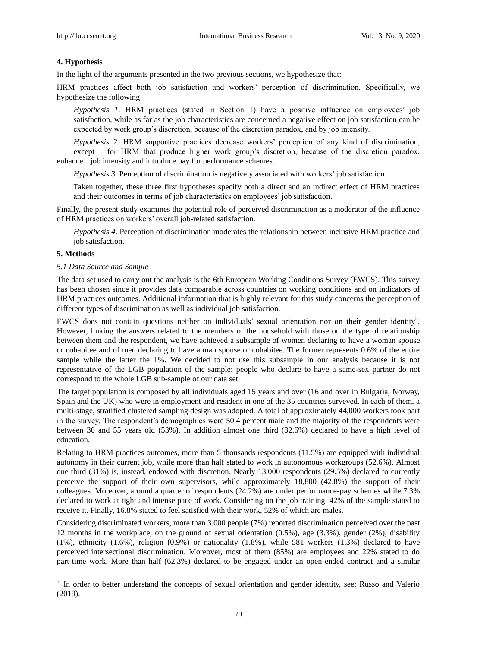## **4. Hypothesis**

In the light of the arguments presented in the two previous sections, we hypothesize that:

HRM practices affect both job satisfaction and workers" perception of discrimination. Specifically, we hypothesize the following:

*Hypothesis 1*. HRM practices (stated in Section 1) have a positive influence on employees' job satisfaction, while as far as the job characteristics are concerned a negative effect on job satisfaction can be expected by work group"s discretion, because of the discretion paradox, and by job intensity.

*Hypothesis 2*. HRM supportive practices decrease workers" perception of any kind of discrimination, except for HRM that produce higher work group's discretion, because of the discretion paradox, enhance job intensity and introduce pay for performance schemes.

*Hypothesis 3*. Perception of discrimination is negatively associated with workers" job satisfaction.

Taken together, these three first hypotheses specify both a direct and an indirect effect of HRM practices and their outcomes in terms of job characteristics on employees' job satisfaction.

Finally, the present study examines the potential role of perceived discrimination as a moderator of the influence of HRM practices on workers" overall job-related satisfaction.

*Hypothesis 4*. Perception of discrimination moderates the relationship between inclusive HRM practice and job satisfaction.

#### **5. Methods**

-

#### *5.1 Data Source and Sample*

The data set used to carry out the analysis is the 6th European Working Conditions Survey (EWCS). This survey has been chosen since it provides data comparable across countries on working conditions and on indicators of HRM practices outcomes. Additional information that is highly relevant for this study concerns the perception of different types of discrimination as well as individual job satisfaction.

EWCS does not contain questions neither on individuals' sexual orientation nor on their gender identity<sup>5</sup>. However, linking the answers related to the members of the household with those on the type of relationship between them and the respondent, we have achieved a subsample of women declaring to have a woman spouse or cohabitee and of men declaring to have a man spouse or cohabitee. The former represents 0.6% of the entire sample while the latter the 1%. We decided to not use this subsample in our analysis because it is not representative of the LGB population of the sample: people who declare to have a same-sex partner do not correspond to the whole LGB sub-sample of our data set.

The target population is composed by all individuals aged 15 years and over (16 and over in Bulgaria, Norway, Spain and the UK) who were in employment and resident in one of the 35 countries surveyed. In each of them, a multi-stage, stratified clustered sampling design was adopted. A total of approximately 44,000 workers took part in the survey. The respondent's demographics were 50.4 percent male and the majority of the respondents were between 36 and 55 years old (53%). In addition almost one third (32.6%) declared to have a high level of education.

Relating to HRM practices outcomes, more than 5 thousands respondents (11.5%) are equipped with individual autonomy in their current job, while more than half stated to work in autonomous workgroups (52.6%). Almost one third (31%) is, instead, endowed with discretion. Nearly 13,000 respondents (29.5%) declared to currently perceive the support of their own supervisors, while approximately 18,800 (42.8%) the support of their colleagues. Moreover, around a quarter of respondents (24.2%) are under performance-pay schemes while 7.3% declared to work at tight and intense pace of work. Considering on the job training, 42% of the sample stated to receive it. Finally, 16.8% stated to feel satisfied with their work, 52% of which are males.

Considering discriminated workers, more than 3.000 people (7%) reported discrimination perceived over the past 12 months in the workplace, on the ground of sexual orientation (0.5%), age (3.3%), gender (2%), disability (1%), ethnicity (1.6%), religion (0.9%) or nationality (1.8%), while 581 workers (1.3%) declared to have perceived intersectional discrimination. Moreover, most of them (85%) are employees and 22% stated to do part-time work. More than half (62.3%) declared to be engaged under an open-ended contract and a similar

<sup>&</sup>lt;sup>5</sup> In order to better understand the concepts of sexual orientation and gender identity, see: Russo and Valerio (2019).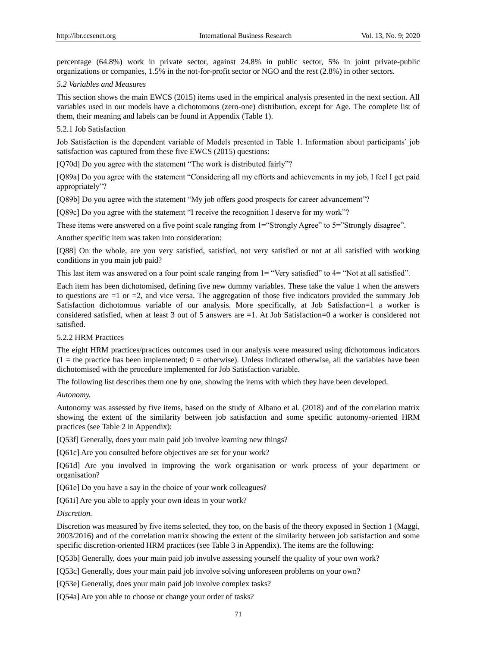percentage (64.8%) work in private sector, against 24.8% in public sector, 5% in joint private-public organizations or companies, 1.5% in the not-for-profit sector or NGO and the rest (2.8%) in other sectors.

#### *5.2 Variables and Measures*

This section shows the main EWCS (2015) items used in the empirical analysis presented in the next section. All variables used in our models have a dichotomous (zero-one) distribution, except for Age. The complete list of them, their meaning and labels can be found in Appendix (Table 1).

## 5.2.1 Job Satisfaction

Job Satisfaction is the dependent variable of Models presented in Table 1. Information about participants" job satisfaction was captured from these five EWCS (2015) questions:

[Q70d] Do you agree with the statement "The work is distributed fairly"?

[Q89a] Do you agree with the statement "Considering all my efforts and achievements in my job, I feel I get paid appropriately"?

[Q89b] Do you agree with the statement "My job offers good prospects for career advancement"?

[Q89c] Do you agree with the statement "I receive the recognition I deserve for my work"?

These items were answered on a five point scale ranging from 1="Strongly Agree" to 5="Strongly disagree".

Another specific item was taken into consideration:

[Q88] On the whole, are you very satisfied, satisfied, not very satisfied or not at all satisfied with working conditions in you main job paid?

This last item was answered on a four point scale ranging from  $1=$  "Very satisfied" to  $4=$  "Not at all satisfied".

Each item has been dichotomised, defining five new dummy variables. These take the value 1 when the answers to questions are  $=1$  or  $=2$ , and vice versa. The aggregation of those five indicators provided the summary Job Satisfaction dichotomous variable of our analysis. More specifically, at Job Satisfaction=1 a worker is considered satisfied, when at least 3 out of 5 answers are =1. At Job Satisfaction=0 a worker is considered not satisfied.

#### 5.2.2 HRM Practices

The eight HRM practices/practices outcomes used in our analysis were measured using dichotomous indicators  $(1 =$  the practice has been implemented;  $0 =$  otherwise). [Unless indicated otherwise,](https://context.reverso.net/traduzione/inglese-italiano/Unless+indicated+otherwise) all the variables have been dichotomised with the procedure implemented for Job Satisfaction variable.

The following list describes them one by one, showing the items with which they have been developed.

#### *Autonomy.*

Autonomy was assessed by five items, based on the study of Albano et al. (2018) and of the correlation matrix showing the extent of the similarity between job satisfaction and some specific autonomy-oriented HRM practices (see Table 2 in Appendix):

[Q53f] Generally, does your main paid job involve learning new things?

[O61c] Are you consulted before objectives are set for your work?

[Q61d] Are you involved in improving the work organisation or work process of your department or organisation?

[Q61e] Do you have a say in the choice of your work colleagues?

[Q61i] Are you able to apply your own ideas in your work?

# *Discretion.*

Discretion was measured by five items selected, they too, on the basis of the theory exposed in Section 1 (Maggi, 2003/2016) and of the correlation matrix showing the extent of the similarity between job satisfaction and some specific discretion-oriented HRM practices (see Table 3 in Appendix). The items are the following:

[Q53b] Generally, does your main paid job involve assessing yourself the quality of your own work?

[Q53c] Generally, does your main paid job involve solving unforeseen problems on your own?

[Q53e] Generally, does your main paid job involve complex tasks?

[Q54a] Are you able to choose or change your order of tasks?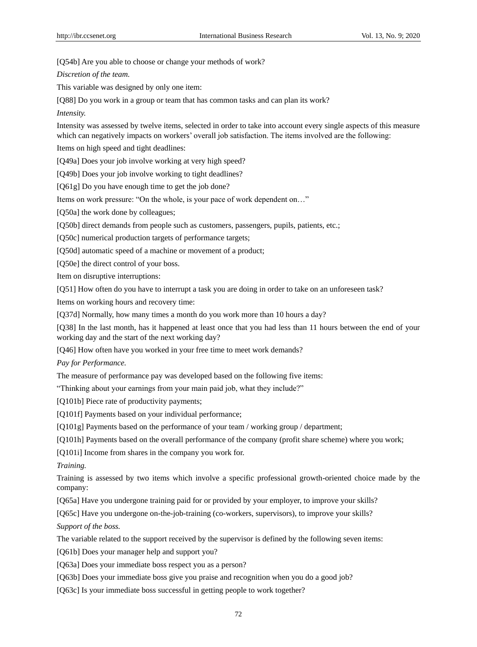[Q54b] Are you able to choose or change your methods of work?

*Discretion of the team.*

This variable was designed by only one item:

[Q88] Do you work in a group or team that has common tasks and can plan its work?

*Intensity.*

Intensity was assessed by twelve items, selected in order to take into account every single aspects of this measure which can negatively impacts on workers" overall job satisfaction. The items involved are the following:

Items on high speed and tight deadlines:

[Q49a] Does your job involve working at very high speed?

[Q49b] Does your job involve working to tight deadlines?

[Q61g] Do you have enough time to get the job done?

Items on work pressure: "On the whole, is your pace of work dependent on…"

[Q50a] the work done by colleagues;

[Q50b] direct demands from people such as customers, passengers, pupils, patients, etc.;

[Q50c] numerical production targets of performance targets;

[Q50d] automatic speed of a machine or movement of a product;

[Q50e] the direct control of your boss.

Item on disruptive interruptions:

[O51] How often do you have to interrupt a task you are doing in order to take on an unforeseen task?

Items on working hours and recovery time:

[Q37d] Normally, how many times a month do you work more than 10 hours a day?

[Q38] In the last month, has it happened at least once that you had less than 11 hours between the end of your working day and the start of the next working day?

[Q46] How often have you worked in your free time to meet work demands?

*Pay for Performance.* 

The measure of performance pay was developed based on the following five items:

"Thinking about your earnings from your main paid job, what they include?"

[Q101b] Piece rate of productivity payments;

[Q101f] Payments based on your individual performance;

[Q101g] Payments based on the performance of your team / working group / department;

[Q101h] Payments based on the overall performance of the company (profit share scheme) where you work;

[Q101i] Income from shares in the company you work for.

*Training.*

Training is assessed by two items which involve a specific professional growth-oriented choice made by the company:

[Q65a] Have you undergone training paid for or provided by your employer, to improve your skills?

[Q65c] Have you undergone on-the-job-training (co-workers, supervisors), to improve your skills? *Support of the boss.*

The variable related to the support received by the supervisor is defined by the following seven items:

[Q61b] Does your manager help and support you?

[Q63a] Does your immediate boss respect you as a person?

[Q63b] Does your immediate boss give you praise and recognition when you do a good job?

[Q63c] Is your immediate boss successful in getting people to work together?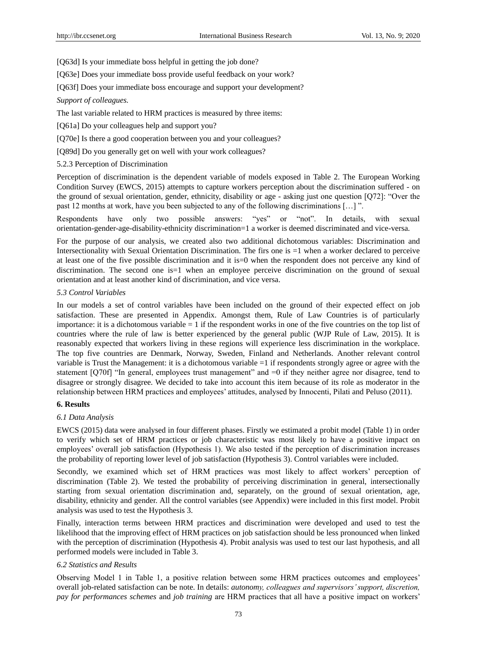[Q63d] Is your immediate boss helpful in getting the job done?

[Q63e] Does your immediate boss provide useful feedback on your work?

[Q63f] Does your immediate boss encourage and support your development?

*Support of colleagues.*

The last variable related to HRM practices is measured by three items:

[Q61a] Do your colleagues help and support you?

[Q70e] Is there a good cooperation between you and your colleagues?

[Q89d] Do you generally get on well with your work colleagues?

5.2.3 Perception of Discrimination

Perception of discrimination is the dependent variable of models exposed in Table 2. The European Working Condition Survey (EWCS, 2015) attempts to capture workers perception about the discrimination suffered - on the ground of sexual orientation, gender, ethnicity, disability or age - asking just one question [Q72]: "Over the past 12 months at work, have you been subjected to any of the following discriminations […] ".

Respondents have only two possible answers: "yes" or "not". In details, with sexual orientation-gender-age-disability-ethnicity discrimination=1 a worker is deemed discriminated and vice-versa.

For the purpose of our analysis, we created also two additional dichotomous variables: Discrimination and Intersectionality with Sexual Orientation Discrimination. The firs one is =1 when a worker declared to perceive at least one of the five possible discrimination and it is=0 when the respondent does not perceive any kind of discrimination. The second one is=1 when an employee perceive discrimination on the ground of sexual orientation and at least another kind of discrimination, and vice versa.

#### *5.3 Control Variables*

In our models a set of control variables have been included on the ground of their expected effect on job satisfaction. These are presented in Appendix. Amongst them, Rule of Law Countries is of particularly importance: it is a dichotomous variable  $= 1$  if the respondent works in one of the five countries on the top list of countries where the rule of law is better experienced by the general public (WJP Rule of Law, 2015). It is reasonably expected that workers living in these regions will experience less discrimination in the workplace. The top five countries are Denmark, Norway, Sweden, Finland and Netherlands. Another relevant control variable is Trust the Management: it is a dichotomous variable =1 if respondents strongly agree or agree with the statement [Q70f] "In general, employees trust management" and =0 if they neither agree nor disagree, tend to disagree or strongly disagree. We decided to take into account this item because of its role as moderator in the relationship between HRM practices and employees' attitudes, analysed by Innocenti, Pilati and Peluso (2011).

# **6. Results**

# *6.1 Data Analysis*

EWCS (2015) data were analysed in four different phases. Firstly we estimated a probit model (Table 1) in order to verify which set of HRM practices or job characteristic was most likely to have a positive impact on employees" overall job satisfaction (Hypothesis 1). We also tested if the perception of discrimination increases the probability of reporting lower level of job satisfaction (Hypothesis 3). Control variables were included.

Secondly, we examined which set of HRM practices was most likely to affect workers" perception of discrimination (Table 2). We tested the probability of perceiving discrimination in general, intersectionally starting from sexual orientation discrimination and, separately, on the ground of sexual orientation, age, disability, ethnicity and gender. All the control variables (see Appendix) were included in this first model. Probit analysis was used to test the Hypothesis 3.

Finally, interaction terms between HRM practices and discrimination were developed and used to test the likelihood that the improving effect of HRM practices on job satisfaction should be less pronounced when linked with the perception of discrimination (Hypothesis 4). Probit analysis was used to test our last hypothesis, and all performed models were included in Table 3.

#### *6.2 Statistics and Results*

Observing Model 1 in Table 1, a positive relation between some HRM practices outcomes and employees" overall job-related satisfaction can be note. In details: *autonomy, colleagues and supervisors' support, discretion, pay for performances schemes* and *job training* are HRM practices that all have a positive impact on workers"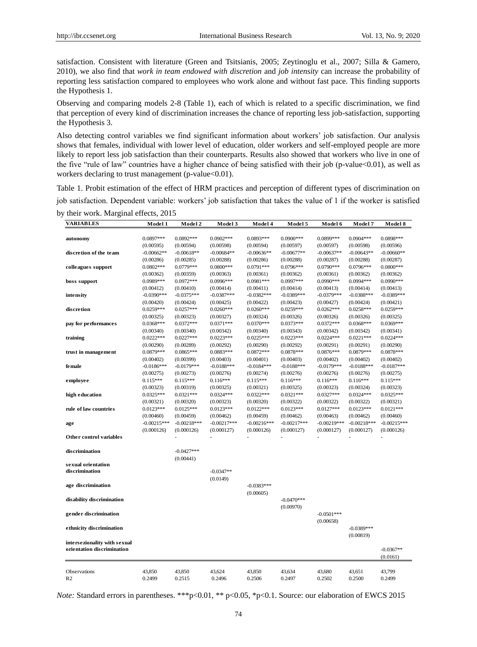satisfaction. Consistent with literature (Green and Tsitsianis, 2005; Zeytinoglu et al., 2007; Silla & Gamero, 2010), we also find that *work in team endowed with discretion* and *job intensity* can increase the probability of reporting less satisfaction compared to employees who work alone and without fast pace. This finding supports the Hypothesis 1.

Observing and comparing models 2-8 (Table 1), each of which is related to a specific discrimination, we find that perception of every kind of discrimination increases the chance of reporting less job-satisfaction, supporting the Hypothesis 3.

Also detecting control variables we find significant information about workers" job satisfaction. Our analysis shows that females, individual with lower level of education, older workers and self-employed people are more likely to report less job satisfaction than their counterparts. Results also showed that workers who live in one of the five "rule of law" countries have a higher chance of being satisfied with their job (p-value<0.01), as well as workers declaring to trust management (p-value<0.01).

Table 1. Probit estimation of the effect of HRM practices and perception of different types of discrimination on job satisfaction. Dependent variable: workers" job satisfaction that takes the value of 1 if the worker is satisfied by their work. Marginal effects, 2015

| <b>VARIABLES</b>             | Model 1       | Model 2                   | Model 3       | Model 4       | Model 5       | Model 6       | Model 7       | Model 8       |
|------------------------------|---------------|---------------------------|---------------|---------------|---------------|---------------|---------------|---------------|
|                              |               |                           |               |               |               |               |               |               |
| autonomy                     | $0.0897***$   | $0.0892***$               | $0.0902***$   | $0.0893***$   | $0.0900***$   | $0.0899***$   | $0.0904***$   | $0.0898***$   |
|                              | (0.00595)     | (0.00594)                 | (0.00598)     | (0.00594)     | (0.00597)     | (0.00597)     | (0.00598)     | (0.00596)     |
| discretion of the team       | $-0.00662**$  | $-0.00618**$              | $-0.00684**$  | $-0.00636**$  | $-0.00677**$  | $-0.00637**$  | $-0.00643**$  | $-0.00660**$  |
|                              | (0.00286)     | (0.00285)                 | (0.00288)     | (0.00286)     | (0.00288)     | (0.00287)     | (0.00288)     | (0.00287)     |
| colleagues support           | $0.0802***$   | $0.0779***$               | $0.0800***$   | $0.0791***$   | 0.0796***     | $0.0790***$   | $0.0796***$   | $0.0800***$   |
|                              | (0.00362)     | (0.00359)                 | (0.00363)     | (0.00361)     | (0.00362)     | (0.00361)     | (0.00362)     | (0.00362)     |
| boss support                 | $0.0989***$   | $0.0972***$               | $0.0996***$   | $0.0981***$   | $0.0997***$   | $0.0990***$   | $0.0994***$   | $0.0990***$   |
|                              | (0.00412)     | (0.00410)                 | (0.00414)     | (0.00411)     | (0.00414)     | (0.00413)     | (0.00414)     | (0.00413)     |
| intensity                    | $-0.0390***$  | $-0.0375***$              | $-0.0387***$  | $-0.0382***$  | $-0.0389***$  | $-0.0379***$  | $-0.0388***$  | $-0.0389***$  |
|                              | (0.00420)     | (0.00424)                 | (0.00425)     | (0.00422)     | (0.00423)     | (0.00427)     | (0.00424)     | (0.00421)     |
| discretion                   | $0.0259***$   | $0.0257***$               | $0.0260***$   | $0.0260***$   | $0.0259***$   | $0.0262***$   | $0.0258***$   | $0.0259***$   |
|                              | (0.00325)     | (0.00323)                 | (0.00327)     | (0.00324)     | (0.00326)     | (0.00326)     | (0.00326)     | (0.00325)     |
| pay for performances         | $0.0368***$   | $0.0372***$               | $0.0371***$   | $0.0370***$   | $0.0373***$   | $0.0372***$   | $0.0368***$   | $0.0369***$   |
|                              | (0.00340)     | (0.00340)                 | (0.00342)     | (0.00340)     | (0.00343)     | (0.00342)     | (0.00342)     | (0.00341)     |
| training                     | $0.0222***$   | $0.0227***$               | $0.0223***$   | $0.0225***$   | $0.0223***$   | $0.0224***$   | $0.0221***$   | $0.0224***$   |
|                              | (0.00290)     | (0.00289)                 | (0.00292)     | (0.00290)     | (0.00292)     | (0.00291)     | (0.00291)     | (0.00290)     |
| trust in management          | $0.0879***$   | $0.0865***$               | $0.0883***$   | $0.0872***$   | $0.0878***$   | $0.0876***$   | $0.0879***$   | $0.0878***$   |
|                              | (0.00402)     | (0.00399)                 | (0.00403)     | (0.00401)     | (0.00403)     | (0.00402)     | (0.00402)     | (0.00402)     |
| <b>female</b>                | $-0.0186***$  | $-0.0179***$              | $-0.0188***$  | $-0.0184***$  | $-0.0188***$  | $-0.0179***$  | $-0.0188***$  | $-0.0187***$  |
|                              | (0.00275)     | (0.00273)                 | (0.00276)     | (0.00274)     | (0.00276)     | (0.00276)     | (0.00276)     | (0.00275)     |
| employee                     | $0.115***$    | $0.115***$                | $0.116***$    | $0.115***$    | $0.116***$    | $0.116***$    | $0.116***$    | $0.115***$    |
|                              | (0.00323)     | (0.00319)                 | (0.00325)     | (0.00321)     | (0.00325)     | (0.00323)     | (0.00324)     | (0.00323)     |
| high education               | $0.0325***$   | $0.0321***$               | $0.0324***$   | $0.0322***$   | $0.0321***$   | $0.0327***$   | $0.0324***$   | $0.0325***$   |
|                              | (0.00321)     | (0.00320)                 | (0.00323)     | (0.00320)     | (0.00322)     | (0.00322)     | (0.00322)     | (0.00321)     |
| rule of law countries        | $0.0123***$   | $0.0125***$               | $0.0123***$   | $0.0122***$   | $0.0123***$   | $0.0127***$   | $0.0123***$   | $0.0121***$   |
|                              | (0.00460)     | (0.00459)                 | (0.00462)     | (0.00459)     | (0.00462)     | (0.00463)     | (0.00462)     | (0.00460)     |
| age                          | $-0.00215***$ | $-0.00218***$             | $-0.00217***$ | $-0.00216***$ | $-0.00217***$ | $-0.00219***$ | $-0.00218***$ | $-0.00215***$ |
|                              | (0.000126)    | (0.000126)                | (0.000127)    | (0.000126)    | (0.000127)    | (0.000127)    | (0.000127)    | (0.000126)    |
| Other control variables      |               |                           |               |               |               |               |               |               |
|                              |               |                           |               |               |               |               |               |               |
| discrimination               |               | $-0.0427***$<br>(0.00441) |               |               |               |               |               |               |
| sexual orientation           |               |                           |               |               |               |               |               |               |
| discrimination               |               |                           | $-0.0347**$   |               |               |               |               |               |
|                              |               |                           | (0.0149)      |               |               |               |               |               |
| age discrimination           |               |                           |               | $-0.0383***$  |               |               |               |               |
|                              |               |                           |               | (0.00605)     |               |               |               |               |
| disability discrimination    |               |                           |               |               | $-0.0470***$  |               |               |               |
|                              |               |                           |               |               | (0.00970)     |               |               |               |
| gender discrimination        |               |                           |               |               |               | $-0.0501***$  |               |               |
|                              |               |                           |               |               |               | (0.00658)     |               |               |
| e thnicity discrimination    |               |                           |               |               |               |               | $-0.0389***$  |               |
|                              |               |                           |               |               |               |               | (0.00819)     |               |
| intersezionality with sexual |               |                           |               |               |               |               |               |               |
| orientation discrimination   |               |                           |               |               |               |               |               | $-0.0367**$   |
|                              |               |                           |               |               |               |               |               | (0.0161)      |
|                              |               |                           |               |               |               |               |               |               |
| Observations                 | 43,850        | 43,850                    | 43,624        | 43,850        | 43,634        | 43,680        | 43,651        | 43,799        |
| R <sub>2</sub>               | 0.2499        | 0.2515                    | 0.2496        | 0.2506        | 0.2497        | 0.2502        | 0.2500        | 0.2499        |

*Note:* Standard errors in parentheses. \*\*\*p<0.01, \*\* p<0.05, \*p<0.1. Source: our elaboration of EWCS 2015  $\ldots$  biancia e  $\ldots$  or  $\ldots$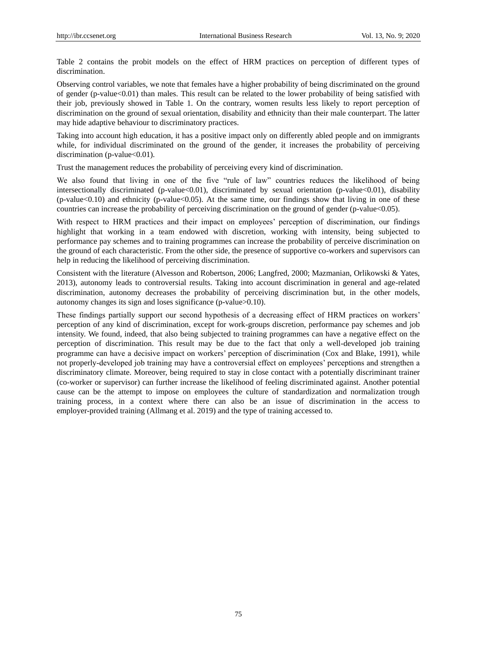Table 2 contains the probit models on the effect of HRM practices on perception of different types of discrimination.

Observing control variables, we note that females have a higher probability of being discriminated on the ground of gender (p-value<0.01) than males. This result can be related to the lower probability of being satisfied with their job, previously showed in Table 1. On the contrary, women results less likely to report perception of discrimination on the ground of sexual orientation, disability and ethnicity than their male counterpart. The latter may hide adaptive behaviour to discriminatory practices.

Taking into account high education, it has a positive impact only on differently abled people and on immigrants while, for individual discriminated on the ground of the gender, it increases the probability of perceiving discrimination ( $p$ -value $< 0.01$ ).

Trust the management reduces the probability of perceiving every kind of discrimination.

We also found that living in one of the five "rule of law" countries reduces the likelihood of being intersectionally discriminated (p-value<0.01), discriminated by sexual orientation (p-value<0.01), disability  $(p-value<0.10)$  and ethnicity (p-value $<0.05$ ). At the same time, our findings show that living in one of these countries can increase the probability of perceiving discrimination on the ground of gender (p-value<0.05).

With respect to HRM practices and their impact on employees' perception of discrimination, our findings highlight that working in a team endowed with discretion, working with intensity, being subjected to performance pay schemes and to training programmes can increase the probability of perceive discrimination on the ground of each characteristic. From the other side, the presence of supportive co-workers and supervisors can help in reducing the likelihood of perceiving discrimination.

Consistent with the literature (Alvesson and Robertson, 2006; Langfred, 2000; Mazmanian, Orlikowski & Yates, 2013), autonomy leads to controversial results. Taking into account discrimination in general and age-related discrimination, autonomy decreases the probability of perceiving discrimination but, in the other models, autonomy changes its sign and loses significance (p-value>0.10).

These findings partially support our second hypothesis of a decreasing effect of HRM practices on workers" perception of any kind of discrimination, except for work-groups discretion, performance pay schemes and job intensity. We found, indeed, that also being subjected to training programmes can have a negative effect on the perception of discrimination. This result may be due to the fact that only a well-developed job training programme can have a decisive impact on workers" perception of discrimination (Cox and Blake, 1991), while not properly-developed job training may have a controversial effect on employees" perceptions and strengthen a discriminatory climate. Moreover, being required to stay in close contact with a potentially discriminant trainer (co-worker or supervisor) can further increase the likelihood of feeling discriminated against. Another potential cause can be the attempt to impose on employees the culture of standardization and normalization trough training process, in a context where there can also be an issue of discrimination in the access to employer-provided training (Allmang et al. 2019) and the type of training accessed to.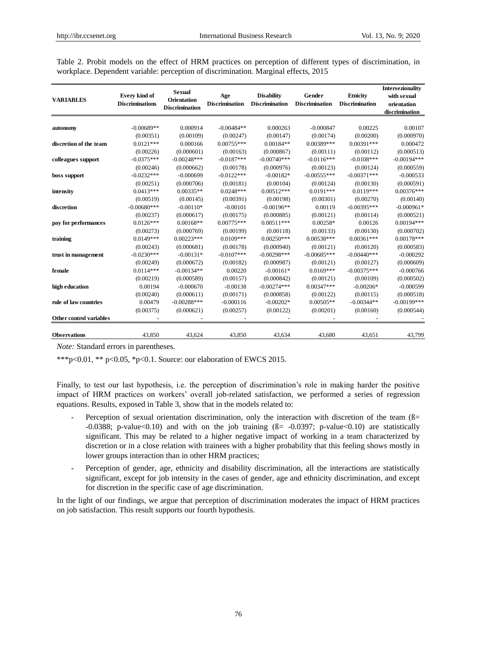Table 2. Probit models on the effect of HRM practices on perception of different types of discrimination, in workplace. Dependent variable: perception of discrimination. Marginal effects, 2015

| <b>VARIABLES</b>        | Every kind of<br><b>Discriminations</b> | <b>Sexual</b><br>Orientation<br><b>Discrimination</b> | Age<br><b>Discrimination</b> | <b>Disability</b><br><b>Discrimination</b> | Gender<br><b>Discrimination</b> | <b>Etnicity</b><br><b>Discrimination</b> | Intersezionality<br>with sexual<br>orientation<br>discrimination |
|-------------------------|-----------------------------------------|-------------------------------------------------------|------------------------------|--------------------------------------------|---------------------------------|------------------------------------------|------------------------------------------------------------------|
|                         |                                         |                                                       |                              |                                            |                                 |                                          |                                                                  |
| autonomy                | $-0.00689**$                            | 0.000914                                              | $-0.00484**$                 | 0.000263                                   | $-0.000847$                     | 0.00225                                  | 0.00107                                                          |
|                         | (0.00351)                               | (0.00109)                                             | (0.00247)                    | (0.00147)                                  | (0.00174)                       | (0.00200)                                | (0.000970)                                                       |
| discretion of the team  | $0.0121***$                             | 0.000166                                              | $0.00755***$                 | $0.00184**$                                | 0.00389***                      | $0.00391***$                             | 0.000472                                                         |
|                         | (0.00226)                               | (0.000601)                                            | (0.00163)                    | (0.000867)                                 | (0.00111)                       | (0.00112)                                | (0.000513)                                                       |
| colleagues support      | $-0.0375***$                            | $-0.00248***$                                         | $-0.0187***$                 | $-0.00740***$                              | $-0.0116***$                    | $-0.0108***$                             | $-0.00194***$                                                    |
|                         | (0.00246)                               | (0.000662)                                            | (0.00178)                    | (0.000976)                                 | (0.00123)                       | (0.00124)                                | (0.000559)                                                       |
| boss support            | $-0.0232***$                            | $-0.000699$                                           | $-0.0122***$                 | $-0.00182*$                                | $-0.00555***$                   | $-0.00371***$                            | $-0.000533$                                                      |
|                         | (0.00251)                               | (0.000706)                                            | (0.00181)                    | (0.00104)                                  | (0.00124)                       | (0.00130)                                | (0.000591)                                                       |
| intensity               | $0.0413***$                             | $0.00335**$                                           | $0.0248***$                  | $0.00512***$                               | $0.0191***$                     | $0.0119***$                              | $0.00376***$                                                     |
|                         | (0.00519)                               | (0.00145)                                             | (0.00391)                    | (0.00198)                                  | (0.00301)                       | (0.00270)                                | (0.00140)                                                        |
| discretion              | $-0.00680***$                           | $-0.00110*$                                           | $-0.00101$                   | $-0.00196**$                               | 0.00119                         | $-0.00395***$                            | $-0.000961*$                                                     |
|                         | (0.00237)                               | (0.000617)                                            | (0.00175)                    | (0.000885)                                 | (0.00121)                       | (0.00114)                                | (0.000521)                                                       |
| pay for performances    | $0.0126***$                             | $0.00168**$                                           | $0.00775***$                 | $0.00511***$                               | $0.00258*$                      | 0.00126                                  | $0.00194***$                                                     |
|                         | (0.00273)                               | (0.000769)                                            | (0.00199)                    | (0.00118)                                  | (0.00133)                       | (0.00130)                                | (0.000702)                                                       |
| training                | $0.0149***$                             | $0.00223***$                                          | $0.0109***$                  | $0.00250***$                               | $0.00538***$                    | $0.00361***$                             | $0.00178***$                                                     |
|                         | (0.00243)                               | (0.000681)                                            | (0.00178)                    | (0.000940)                                 | (0.00121)                       | (0.00120)                                | (0.000583)                                                       |
| trust in management     | $-0.0230***$                            | $-0.00131*$                                           | $-0.0107***$                 | $-0.00298***$                              | $-0.00685***$                   | $-0.00440***$                            | $-0.000292$                                                      |
|                         | (0.00249)                               | (0.000672)                                            | (0.00182)                    | (0.000987)                                 | (0.00121)                       | (0.00127)                                | (0.000609)                                                       |
| female                  | $0.0114***$                             | $-0.00134**$                                          | 0.00220                      | $-0.00161*$                                | $0.0169***$                     | $-0.00375***$                            | $-0.000766$                                                      |
|                         | (0.00219)                               | (0.000589)                                            | (0.00157)                    | (0.000842)                                 | (0.00121)                       | (0.00109)                                | (0.000502)                                                       |
| high education          | 0.00194                                 | $-0.000670$                                           | $-0.00138$                   | $-0.00274***$                              | $0.00347***$                    | $-0.00206*$                              | $-0.000599$                                                      |
|                         | (0.00240)                               | (0.000611)                                            | (0.00171)                    | (0.000858)                                 | (0.00122)                       | (0.00115)                                | (0.000518)                                                       |
| rule of law countries   | 0.00479                                 | $-0.00288***$                                         | $-0.000116$                  | $-0.00202*$                                | $0.00505**$                     | $-0.00344**$                             | $-0.00199$ ***                                                   |
|                         | (0.00375)                               | (0.000621)                                            | (0.00257)                    | (0.00122)                                  | (0.00201)                       | (0.00160)                                | (0.000544)                                                       |
| Other control variables |                                         |                                                       |                              |                                            |                                 |                                          |                                                                  |
| <b>Observations</b>     | 43.850                                  | 43.624                                                | 43,850                       | 43,634                                     | 43,680                          | 43,651                                   | 43,799                                                           |

*Note:* Standard errors in parentheses.

\*\*\* p<0.01, \*\* p<0.05, \*p<0.1. Source: our elaboration of EWCS 2015.

Finally, to test our last hypothesis, i.e. the perception of discrimination"s role in making harder the positive impact of HRM practices on workers" overall job-related satisfaction, we performed a series of regression equations. Results, exposed in Table 3, show that in the models related to:

- Perception of sexual orientation discrimination, only the interaction with discretion of the team (ß= -0.0388; p-value<0.10) and with on the job training  $(\beta = -0.0397; \text{ p-value} < 0.10)$  are statistically significant. This may be related to a higher negative impact of working in a team characterized by discretion or in a close relation with trainees with a higher probability that this feeling shows mostly in lower groups interaction than in other HRM practices;
- Perception of gender, age, ethnicity and disability discrimination, all the interactions are statistically significant, except for job intensity in the cases of gender, age and ethnicity discrimination, and except for discretion in the specific case of age discrimination.

In the light of our findings, we argue that perception of discrimination moderates the impact of HRM practices on job satisfaction. This result supports our fourth hypothesis.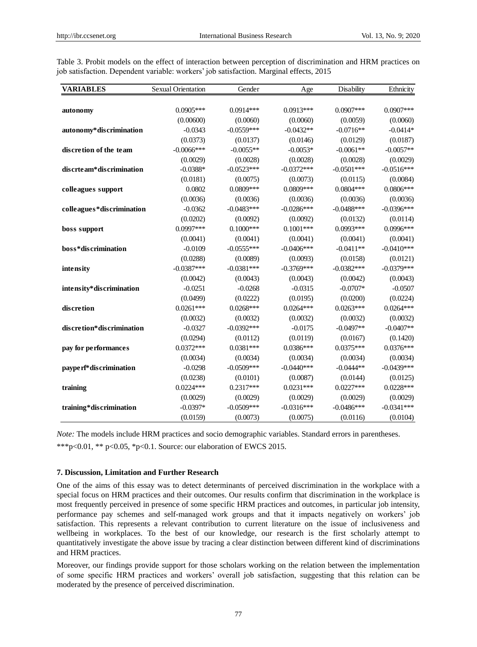| <b>VARIABLES</b>          | Sexual Orientation | Gender       | Age          | Disability   | Ethnicity    |
|---------------------------|--------------------|--------------|--------------|--------------|--------------|
|                           |                    |              |              |              |              |
| autonomy                  | $0.0905***$        | $0.0914***$  | $0.0913***$  | $0.0907***$  | $0.0907***$  |
|                           | (0.00600)          | (0.0060)     | (0.0060)     | (0.0059)     | (0.0060)     |
| autonomy*discrimination   | $-0.0343$          | $-0.0559***$ | $-0.0432**$  | $-0.0716**$  | $-0.0414*$   |
|                           | (0.0373)           | (0.0137)     | (0.0146)     | (0.0129)     | (0.0187)     |
| discretion of the team    | $-0.0066$ ***      | $-0.0055**$  | $-0.0053*$   | $-0.0061**$  | $-0.0057**$  |
|                           | (0.0029)           | (0.0028)     | (0.0028)     | (0.0028)     | (0.0029)     |
| discrteam*discrimination  | $-0.0388*$         | $-0.0523***$ | $-0.0372***$ | $-0.0501***$ | $-0.0516***$ |
|                           | (0.0181)           | (0.0075)     | (0.0073)     | (0.0115)     | (0.0084)     |
| colleagues support        | 0.0802             | $0.0809***$  | $0.0809***$  | $0.0804***$  | $0.0806***$  |
|                           | (0.0036)           | (0.0036)     | (0.0036)     | (0.0036)     | (0.0036)     |
| colleagues*discrimination | $-0.0362$          | $-0.0483***$ | $-0.0286***$ | $-0.0488***$ | $-0.0396***$ |
|                           | (0.0202)           | (0.0092)     | (0.0092)     | (0.0132)     | (0.0114)     |
| boss support              | $0.0997***$        | $0.1000***$  | $0.1001***$  | $0.0993***$  | $0.0996***$  |
|                           | (0.0041)           | (0.0041)     | (0.0041)     | (0.0041)     | (0.0041)     |
| boss*discrimination       | $-0.0109$          | $-0.0555***$ | $-0.0406***$ | $-0.0411**$  | $-0.0410***$ |
|                           | (0.0288)           | (0.0089)     | (0.0093)     | (0.0158)     | (0.0121)     |
| intensity                 | $-0.0387***$       | $-0.0381***$ | $-0.3769***$ | $-0.0382***$ | $-0.0379***$ |
|                           | (0.0042)           | (0.0043)     | (0.0043)     | (0.0042)     | (0.0043)     |
| intensity*discrimination  | $-0.0251$          | $-0.0268$    | $-0.0315$    | $-0.0707*$   | $-0.0507$    |
|                           | (0.0499)           | (0.0222)     | (0.0195)     | (0.0200)     | (0.0224)     |
| discretion                | $0.0261***$        | $0.0268***$  | $0.0264***$  | $0.0263***$  | $0.0264***$  |
|                           | (0.0032)           | (0.0032)     | (0.0032)     | (0.0032)     | (0.0032)     |
| discretion*discrimination | $-0.0327$          | $-0.0392***$ | $-0.0175$    | $-0.0497**$  | $-0.0407**$  |
|                           | (0.0294)           | (0.0112)     | (0.0119)     | (0.0167)     | (0.1420)     |
| pay for performances      | $0.0372***$        | $0.0381***$  | $0.0386***$  | $0.0375***$  | $0.0376***$  |
|                           | (0.0034)           | (0.0034)     | (0.0034)     | (0.0034)     | (0.0034)     |
| paype rf* discrimination  | $-0.0298$          | $-0.0509***$ | $-0.0440***$ | $-0.0444**$  | $-0.0439***$ |
|                           | (0.0238)           | (0.0101)     | (0.0087)     | (0.0144)     | (0.0125)     |
| training                  | $0.0224***$        | $0.2317***$  | $0.0231***$  | $0.0227***$  | $0.0228***$  |
|                           | (0.0029)           | (0.0029)     | (0.0029)     | (0.0029)     | (0.0029)     |
| training*discrimination   | $-0.0397*$         | $-0.0509***$ | $-0.0316***$ | $-0.0486***$ | $-0.0341***$ |
|                           | (0.0159)           | (0.0073)     | (0.0075)     | (0.0116)     | (0.0104)     |

Table 3. Probit models on the effect of interaction between perception of discrimination and HRM practices on job satisfaction. Dependent variable: workers" job satisfaction. Marginal effects, 2015 **satisfaction**

Note: The models include HRM practices and socio-demographic variables. Standard errors in parentheses.

\*\*\*p<0.01, \*\* p<0.05, \*p<0.1. Source: our elaboration of EWCS 2015.

# **7. Discussion, Limitation and Further Research**

One of the aims of this essay was to detect determinants of perceived discrimination in the workplace with a special focus on HRM practices and their outcomes. Our results confirm that discrimination in the workplace is most frequently perceived in presence of some specific HRM practices and outcomes, in particular job intensity, performance pay schemes and self-managed work groups and that it impacts negatively on workers" job satisfaction. This represents a relevant contribution to current literature on the issue of inclusiveness and wellbeing in workplaces. To the best of our knowledge, our research is the first scholarly attempt to quantitatively investigate the above issue by tracing a clear distinction between different kind of discriminations and HRM practices.

Moreover, our findings provide support for those scholars working on the relation between the implementation of some specific HRM practices and workers" overall job satisfaction, suggesting that this relation can be moderated by the presence of perceived discrimination.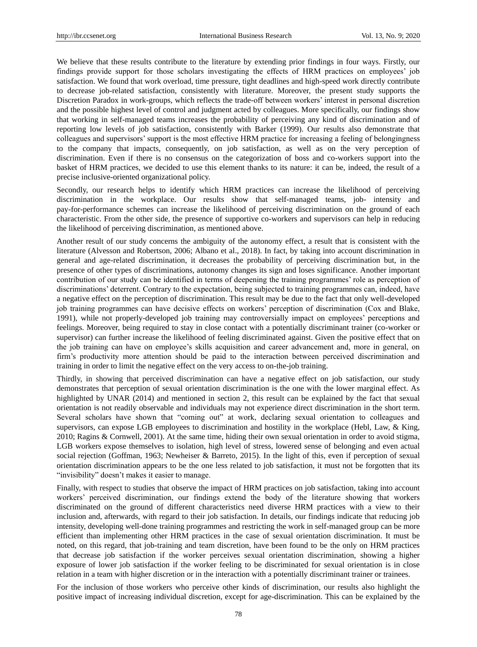We believe that these results contribute to the literature by extending prior findings in four ways. Firstly, our findings provide support for those scholars investigating the effects of HRM practices on employees" job satisfaction. We found that work overload, time pressure, tight deadlines and high-speed work directly contribute to decrease job-related satisfaction, consistently with literature. Moreover, the present study supports the Discretion Paradox in work-groups, which reflects the trade-off between workers" interest in personal discretion and the possible highest level of control and judgment acted by colleagues. More specifically, our findings show that working in self-managed teams increases the probability of perceiving any kind of discrimination and of reporting low levels of job satisfaction, consistently with Barker (1999). Our results also demonstrate that colleagues and supervisors" support is the most effective HRM practice for increasing a feeling of belongingness to the company that impacts, consequently, on job satisfaction, as well as on the very perception of discrimination. Even if there is no consensus on the categorization of boss and co-workers support into the basket of HRM practices, we decided to use this element thanks to its nature: it can be, indeed, the result of a precise inclusive-oriented organizational policy.

Secondly, our research helps to identify which HRM practices can increase the likelihood of perceiving discrimination in the workplace. Our results show that self-managed teams, job- intensity and pay-for-performance schemes can increase the likelihood of perceiving discrimination on the ground of each characteristic. From the other side, the presence of supportive co-workers and supervisors can help in reducing the likelihood of perceiving discrimination, as mentioned above.

Another result of our study concerns the ambiguity of the autonomy effect, a result that is consistent with the literature (Alvesson and Robertson, 2006; Albano et al., 2018). In fact, by taking into account discrimination in general and age-related discrimination, it decreases the probability of perceiving discrimination but, in the presence of other types of discriminations, autonomy changes its sign and loses significance. Another important contribution of our study can be identified in terms of deepening the training programmes' role as perception of discriminations" deterrent. Contrary to the expectation, being subjected to training programmes can, indeed, have a negative effect on the perception of discrimination. This result may be due to the fact that only well-developed job training programmes can have decisive effects on workers" perception of discrimination (Cox and Blake, 1991), while not properly-developed job training may controversially impact on employees" perceptions and feelings. Moreover, being required to stay in close contact with a potentially discriminant trainer (co-worker or supervisor) can further increase the likelihood of feeling discriminated against. Given the positive effect that on the job training can have on employee"s skills acquisition and career advancement and, more in general, on firm"s productivity more attention should be paid to the interaction between perceived discrimination and training in order to limit the negative effect on the very access to on-the-job training.

Thirdly, in showing that perceived discrimination can have a negative effect on job satisfaction, our study demonstrates that perception of sexual orientation discrimination is the one with the lower marginal effect. As highlighted by UNAR (2014) and mentioned in section 2, this result can be explained by the fact that sexual orientation is not readily observable and individuals may not experience direct discrimination in the short term. Several scholars have shown that "coming out" at work, declaring sexual orientation to colleagues and supervisors, can expose LGB employees to discrimination and hostility in the workplace (Hebl, Law, & King, 2010; Ragins & Cornwell, 2001). At the same time, hiding their own sexual orientation in order to avoid stigma, LGB workers expose themselves to isolation, high level of stress, lowered sense of belonging and even actual social rejection (Goffman, 1963; Newheiser & Barreto, 2015). In the light of this, even if perception of sexual orientation discrimination appears to be the one less related to job satisfaction, it must not be forgotten that its "invisibility" doesn't makes it easier to manage.

Finally, with respect to studies that observe the impact of HRM practices on job satisfaction, taking into account workers" perceived discrimination, our findings extend the body of the literature showing that workers discriminated on the ground of different characteristics need diverse HRM practices with a view to their inclusion and, afterwards, with regard to their job satisfaction. In details, our findings indicate that reducing job intensity, developing well-done training programmes and restricting the work in self-managed group can be more efficient than implementing other HRM practices in the case of sexual orientation discrimination. It must be noted, on this regard, that job-training and team discretion, have been found to be the only on HRM practices that decrease job satisfaction if the worker perceives sexual orientation discrimination, showing a higher exposure of lower job satisfaction if the worker feeling to be discriminated for sexual orientation is in close relation in a team with higher discretion or in the interaction with a potentially discriminant trainer or trainees.

For the inclusion of those workers who perceive other kinds of discrimination, our results also highlight the positive impact of increasing individual discretion, except for age-discrimination. This can be explained by the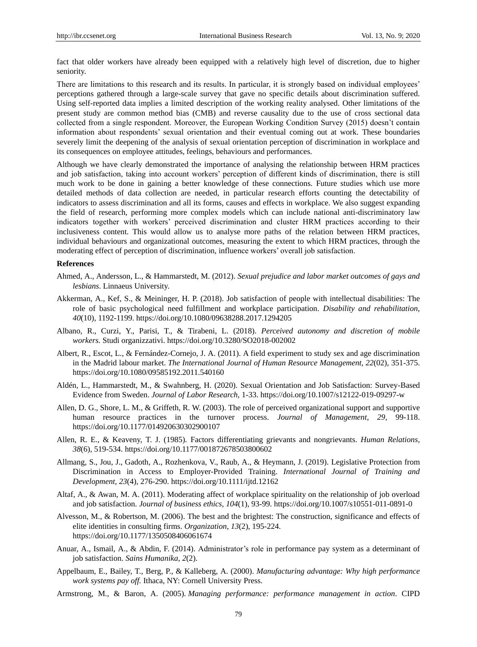fact that older workers have already been equipped with a relatively high level of discretion, due to higher seniority.

There are limitations to this research and its results. In particular, it is strongly based on individual employees' perceptions gathered through a large-scale survey that gave no specific details about discrimination suffered. Using self-reported data implies a limited description of the working reality analysed. Other limitations of the present study are common method bias (CMB) and reverse causality due to the use of cross sectional data collected from a single respondent. Moreover, the European Working Condition Survey (2015) doesn"t contain information about respondents" sexual orientation and their eventual coming out at work. These boundaries severely limit the deepening of the analysis of sexual orientation perception of discrimination in workplace and its consequences on employee attitudes, feelings, behaviours and performances.

Although we have clearly demonstrated the importance of analysing the relationship between HRM practices and job satisfaction, taking into account workers" perception of different kinds of discrimination, there is still much work to be done in gaining a better knowledge of these connections. Future studies which use more detailed methods of data collection are needed, in particular research efforts counting the detectability of indicators to assess discrimination and all its forms, causes and effects in workplace. We also suggest expanding the field of research, performing more complex models which can include national anti-discriminatory law indicators together with workers" perceived discrimination and cluster HRM practices according to their inclusiveness content. This would allow us to analyse more paths of the relation between HRM practices, individual behaviours and organizational outcomes, measuring the extent to which HRM practices, through the moderating effect of perception of discrimination, influence workers" overall job satisfaction.

#### **References**

- Ahmed, A., Andersson, L., & Hammarstedt, M. (2012). *Sexual prejudice and labor market outcomes of gays and lesbians*. Linnaeus University.
- Akkerman, A., Kef, S., & Meininger, H. P. (2018). Job satisfaction of people with intellectual disabilities: The role of basic psychological need fulfillment and workplace participation. *Disability and rehabilitation, 40*(10), 1192-1199. https://doi.org/10.1080/09638288.2017.1294205
- Albano, R., Curzi, Y., Parisi, T., & Tirabeni, L. (2018). *Perceived autonomy and discretion of mobile workers.* Studi organizzativi. https://doi.org/10.3280/SO2018-002002
- Albert, R., Escot, L., & Fernández-Cornejo, J. A. (2011). A field experiment to study sex and age discrimination in the Madrid labour market. *The International Journal of Human Resource Management, 22*(02), 351-375. https://doi.org/10.1080/09585192.2011.540160
- Aldén, L., Hammarstedt, M., & Swahnberg, H. (2020). Sexual Orientation and Job Satisfaction: Survey-Based Evidence from Sweden. *Journal of Labor Research,* 1-33. https://doi.org/10.1007/s12122-019-09297-w
- Allen, D. G., Shore, L. M., & Griffeth, R. W. (2003). The role of perceived organizational support and supportive human resource practices in the turnover process. *Journal of Management, 29,* 99-118. https://doi.org/10.1177/014920630302900107
- Allen, R. E., & Keaveny, T. J. (1985). Factors differentiating grievants and nongrievants. *Human Relations, 38*(6), 519-534. https://doi.org/10.1177/001872678503800602
- Allmang, S., Jou, J., Gadoth, A., Rozhenkova, V., Raub, A., & Heymann, J. (2019). Legislative Protection from Discrimination in Access to Employer-Provided Training. *International Journal of Training and Development, 23*(4), 276-290. https://doi.org/10.1111/ijtd.12162
- Altaf, A., & Awan, M. A. (2011). Moderating affect of workplace spirituality on the relationship of job overload and job satisfaction. *Journal of business ethics, 104*(1), 93-99. https://doi.org/10.1007/s10551-011-0891-0
- Alvesson, M., & Robertson, M. (2006). The best and the brightest: The construction, significance and effects of elite identities in consulting firms. *Organization*, *13*(2), 195-224. https://doi.org/10.1177/1350508406061674
- Anuar, A., Ismail, A., & Abdin, F. (2014). Administrator's role in performance pay system as a determinant of job satisfaction. *Sains Humanika, 2*(2).
- Appelbaum, E., Bailey, T., Berg, P., & Kalleberg, A. (2000). *Manufacturing advantage: Why high performance work systems pay off.* Ithaca, NY: Cornell University Press.
- Armstrong, M., & Baron, A. (2005). *Managing performance: performance management in action*. CIPD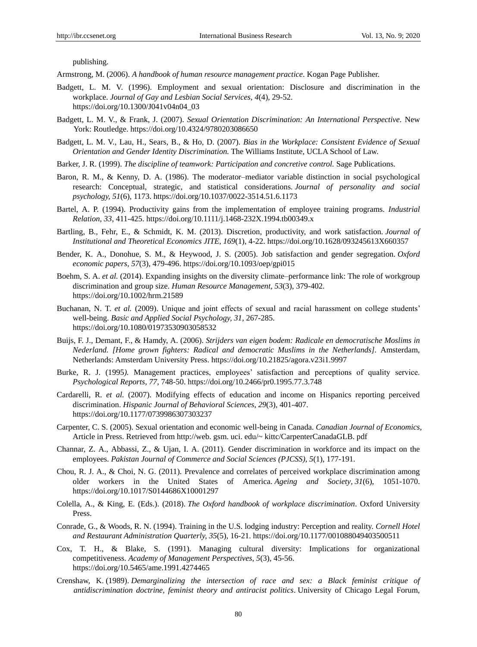publishing.

Armstrong, M. (2006). *A handbook of human resource management practice*. Kogan Page Publisher.

- Badgett, L. M. V. (1996). Employment and sexual orientation: Disclosure and discrimination in the workplace. *Journal of Gay and Lesbian Social Services, 4*(4), 29-52. https://doi.org/10.1300/J041v04n04\_03
- Badgett, L. M. V., & Frank, J. (2007). *[Sexual Orientation Discrimination: An International Perspective.](http://www.routledge.com/books/details/9780415770248/)* New [York: Routledge.](http://www.routledge.com/books/details/9780415770248/) https://doi.org/10.4324/9780203086650
- Badgett, L. M. V., Lau, H., Sears, B., & Ho, D. (2007). *Bias in the Workplace: Consistent Evidence of Sexual Orientation and Gender Identity Discrimination.* The Williams Institute, UCLA School of Law.
- Barker, J. R. (1999). *The discipline of teamwork: Participation and concretive control.* Sage Publications.
- Baron, R. M., & Kenny, D. A. (1986). The moderator–mediator variable distinction in social psychological research: Conceptual, strategic, and statistical considerations. *Journal of personality and social psychology, 51*(6), 1173. https://doi.org/10.1037/0022-3514.51.6.1173
- Bartel, A. P. (1994). Productivity gains from the implementation of employee training programs. *Industrial Relation, 33,* 411-425. https://doi.org/10.1111/j.1468-232X.1994.tb00349.x
- Bartling, B., Fehr, E., & Schmidt, K. M. (2013)*.* Discretion, productivity, and work satisfaction. *Journal of Institutional and Theoretical Economics JITE, 169*(1), 4-22. https://doi.org/10.1628/093245613X660357
- Bender, K. A., Donohue, S. M., & Heywood, J. S. (2005). Job satisfaction and gender segregation. *Oxford economic papers, 57*(3), 479-496. https://doi.org/10.1093/oep/gpi015
- Boehm, S. A. *et al.* (2014). Expanding insights on the diversity climate–performance link: The role of workgroup discrimination and group size. *Human Resource Management, 53*(3), 379-402. https://doi.org/10.1002/hrm.21589
- Buchanan, N. T. *et al.* (2009). Unique and joint effects of sexual and racial harassment on college students' well-being. *Basic and Applied Social Psychology, 31,* 267-285. https://doi.org/10.1080/01973530903058532
- Buijs, F. J., Demant, F., & Hamdy, A. (2006). *Strijders van eigen bodem: Radicale en democratische Moslims in Nederland. [Home grown fighters: Radical and democratic Muslims in the Netherlands].* Amsterdam, Netherlands: Amsterdam University Press. https://doi.org/10.21825/agora.v23i1.9997
- Burke, R. J. (1995*).* Management practices, employees" satisfaction and perceptions of quality service. *Psychological Reports, 77,* 748-50. https://doi.org/10.2466/pr0.1995.77.3.748
- Cardarelli, R. *et al.* (2007). Modifying effects of education and income on Hispanics reporting perceived discrimination. *Hispanic Journal of Behavioral Sciences, 29*(3), 401-407. https://doi.org/10.1177/0739986307303237
- Carpenter, C. S. (2005). Sexual orientation and economic well-being in Canada. *Canadian Journal of Economics,*  Article in Press. Retrieved from http://web. gsm. uci. edu/~ kittc/CarpenterCanadaGLB. pdf
- Channar, Z. A., Abbassi, Z., & Ujan, I. A. (2011). Gender discrimination in workforce and its impact on the employees. *Pakistan Journal of Commerce and Social Sciences (PJCSS), 5*(1), 177-191.
- Chou, R. J. A., & Choi, N. G. (2011). Prevalence and correlates of perceived workplace discrimination among older workers in the United States of America. *Ageing and Society, 31*(6), 1051-1070. https://doi.org/10.1017/S0144686X10001297
- Colella, A., & King, E. (Eds.). (2018). *The Oxford handbook of workplace discrimination*. Oxford University Press.
- Conrade, G., & Woods, R. N. (1994). Training in the U.S. lodging industry: Perception and reality. *Cornell Hotel and Restaurant Administration Quarterly, 35*(5), 16-21. https://doi.org/10.1177/001088049403500511
- Cox, T. H., & Blake, S. (1991). Managing cultural diversity: Implications for organizational competitiveness. *Academy of Management Perspectives, 5*(3), 45-56. https://doi.org/10.5465/ame.1991.4274465
- [Crenshaw, K.](https://en.wikipedia.org/wiki/Kimberl%C3%A9_Williams_Crenshaw) (1989). *[Demarginalizing the intersection of race and sex: a Black feminist critique of](http://heinonline.org/HOL/LandingPage?handle=hein.journals/uchclf1989&div=10)  [antidiscrimination doctrine, feminist theory and antiracist politics](http://heinonline.org/HOL/LandingPage?handle=hein.journals/uchclf1989&div=10)*. [University of Chicago Legal Forum,](https://en.wikipedia.org/wiki/University_of_Chicago_Legal_Forum)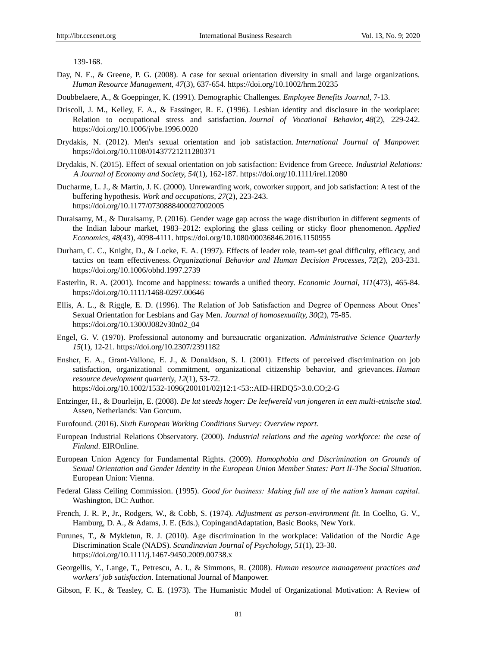139-168.

- Day, N. E., & Greene, P. G. (2008). A case for sexual orientation diversity in small and large organizations. *Human Resource Management, 47*(3), 637-654. https://doi.org/10.1002/hrm.20235
- Doubbelaere, A., & Goeppinger, K. (1991). Demographic Challenges. *Employee Benefits Journal,* 7-13.
- Driscoll, J. M., Kelley, F. A., & Fassinger, R. E. (1996). Lesbian identity and disclosure in the workplace: Relation to occupational stress and satisfaction. *Journal of Vocational Behavior, 48*(2), 229-242. https://doi.org/10.1006/jvbe.1996.0020
- Drydakis, N. (2012). Men's sexual orientation and job satisfaction. *International Journal of Manpower.* https://doi.org/10.1108/01437721211280371
- [Drydakis, N. \(2015\). Effect of sexual orientation on job satisfaction: Evidence from Greece.](http://dx.doi.org/10.1111/irel.12080) *Industrial Relations: [A Journal of Economy and Society,](http://dx.doi.org/10.1111/irel.12080) 54*(1), 162-187. https://doi.org/10.1111/irel.12080
- Ducharme, L. J., & Martin, J. K. (2000). Unrewarding work, coworker support, and job satisfaction: A test of the buffering hypothesis. *Work and occupations, 27*(2), 223-243. https://doi.org/10.1177/0730888400027002005
- Duraisamy, M., & Duraisamy, P. (2016). Gender wage gap across the wage distribution in different segments of the Indian labour market, 1983–2012: exploring the glass ceiling or sticky floor phenomenon. *Applied Economics, 48*(43), 4098-4111. https://doi.org/10.1080/00036846.2016.1150955
- Durham, C. C., Knight, D., & Locke, E. A. (1997). Effects of leader role, team-set goal difficulty, efficacy, and tactics on team effectiveness. *Organizational Behavior and Human Decision Processes*, *72*(2), 203-231. https://doi.org/10.1006/obhd.1997.2739
- Easterlin, R. A. (2001). Income and happiness: towards a unified theory. *Economic Journal, 111*(473), 465-84. https://doi.org/10.1111/1468-0297.00646
- Ellis, A. L., & Riggle, E. D. (1996). The Relation of Job Satisfaction and Degree of Openness About Ones" Sexual Orientation for Lesbians and Gay Men. *Journal of homosexuality, 30*(2), 75-85. https://doi.org/10.1300/J082v30n02\_04
- Engel, G. V. (1970). Professional autonomy and bureaucratic organization. *Administrative Science Quarterly 15*(1), 12-21. https://doi.org/10.2307/2391182
- Ensher, E. A., Grant-Vallone, E. J., & Donaldson, S. I. (2001). Effects of perceived discrimination on job satisfaction, organizational commitment, organizational citizenship behavior, and grievances. *Human resource development quarterly, 12*(1), 53-72. https://doi.org/10.1002/1532-1096(200101/02)12:1<53::AID-HRDQ5>3.0.CO;2-G
- Entzinger, H., & Dourleijn, E. (2008). *De lat steeds hoger: De leefwereld van jongeren in een multi-etnische stad*. Assen, Netherlands: Van Gorcum.
- Eurofound. (2016). *Sixth European Working Conditions Survey: Overview report.*
- European Industrial Relations Observatory. (2000). *Industrial relations and the ageing workforce: the case of Finland*. EIROnline.
- European Union Agency for Fundamental Rights. (2009). *Homophobia and Discrimination on Grounds of Sexual Orientation and Gender Identity in the European Union Member States: Part II-The Social Situation.* European Union: Vienna.
- Federal Glass Ceiling Commission. (1995). *Good for business: Making full use of the nation's human capital*. Washington, DC: Author.
- French, J. R. P., Jr., Rodgers, W., & Cobb, S. (1974). *Adjustment as person-environment fit.* In Coelho, G. V., Hamburg, D. A., & Adams, J. E. (Eds.), CopingandAdaptation, Basic Books, New York.
- Furunes, T., & Mykletun, R. J. (2010). Age discrimination in the workplace: Validation of the Nordic Age Discrimination Scale (NADS). *Scandinavian Journal of Psychology, 51*(1), 23-30. https://doi.org/10.1111/j.1467-9450.2009.00738.x
- Georgellis, Y., Lange, T., Petrescu, A. I., & Simmons, R. (2008). *Human resource management practices and workers' job satisfaction*. International Journal of Manpower.
- Gibson, F. K., & Teasley, C. E. (1973). The Humanistic Model of Organizational Motivation: A Review of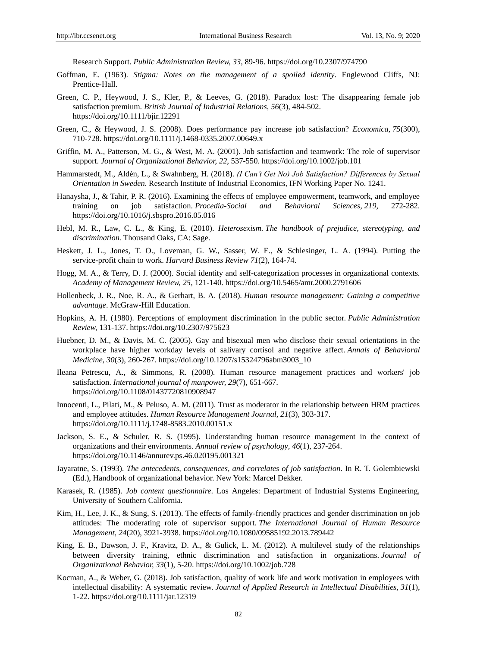Research Support. *Public Administration Review, 33,* 89-96. https://doi.org/10.2307/974790

- Goffman, E. (1963). *Stigma: Notes on the management of a spoiled identity*. Englewood Cliffs, NJ: Prentice-Hall.
- Green, C. P., Heywood, J. S., Kler, P., & Leeves, G. (2018). Paradox lost: The disappearing female job satisfaction premium. *British Journal of Industrial Relations, 56*(3), 484-502. https://doi.org/10.1111/bjir.12291
- Green, C., & Heywood, J. S. (2008). Does performance pay increase job satisfaction? *Economica, 75*(300), 710-728. https://doi.org/10.1111/j.1468-0335.2007.00649.x
- Griffin, M. A., Patterson, M. G., & West, M. A. (2001). Job satisfaction and teamwork: The role of supervisor support. *Journal of Organizational Behavior, 22,* 537-550. https://doi.org/10.1002/job.101
- Hammarstedt, M., Aldén, L., & Swahnberg, H. (2018). *(I Can't Get No) Job Satisfaction? Differences by Sexual Orientation in Sweden*. Research Institute of Industrial Economics, IFN Working Paper No. 1241.
- Hanaysha, J., & Tahir, P. R. (2016). Examining the effects of employee empowerment, teamwork, and employee training on job satisfaction. *Procedia-Social and Behavioral Sciences, 219,* 272-282. https://doi.org/10.1016/j.sbspro.2016.05.016
- Hebl, M. R., Law, C. L., & King, E. (2010). *Heterosexism. The handbook of prejudice, stereotyping, and discrimination.* Thousand Oaks, CA: Sage.
- Heskett, J. L., Jones, T. O., Loveman, G. W., Sasser, W. E., & Schlesinger, L. A. (1994). Putting the service-profit chain to work. *Harvard Business Review 71*(2), 164-74.
- Hogg, M. A., & Terry, D. J. (2000). Social identity and self-categorization processes in organizational contexts. *Academy of Management Review, 25,* 121-140. https://doi.org/10.5465/amr.2000.2791606
- Hollenbeck, J. R., Noe, R. A., & Gerhart, B. A. (2018). *Human resource management: Gaining a competitive advantage*. McGraw-Hill Education.
- Hopkins, A. H. (1980). Perceptions of employment discrimination in the public sector. *Public Administration Review,* 131-137. https://doi.org/10.2307/975623
- Huebner, D. M., & Davis, M. C. (2005). Gay and bisexual men who disclose their sexual orientations in the workplace have higher workday levels of salivary cortisol and negative affect. *Annals of Behavioral Medicine, 30*(3), 260-267. https://doi.org/10.1207/s15324796abm3003\_10
- Ileana Petrescu, A., & Simmons, R. (2008). Human resource management practices and workers' job satisfaction. *International journal of manpower, 29*(7), 651-667. https://doi.org/10.1108/01437720810908947
- Innocenti, L., Pilati, M., & Peluso, A. M. (2011). Trust as moderator in the relationship between HRM practices and employee attitudes. *Human Resource Management Journal, 21*(3), 303-317. https://doi.org/10.1111/j.1748-8583.2010.00151.x
- Jackson, S. E., & Schuler, R. S. (1995). Understanding human resource management in the context of organizations and their environments. *Annual review of psychology, 46*(1), 237-264. https://doi.org/10.1146/annurev.ps.46.020195.001321
- Jayaratne, S. (1993). *The antecedents, consequences, and correlates of job satisfaction*. In R. T. Golembiewski (Ed.), Handbook of organizational behavior. New York: Marcel Dekker.
- Karasek, R. (1985). *Job content questionnaire*. Los Angeles: Department of Industrial Systems Engineering, University of Southern California.
- Kim, H., Lee, J. K., & Sung, S. (2013). The effects of family-friendly practices and gender discrimination on job attitudes: The moderating role of supervisor support. *The International Journal of Human Resource Management, 24*(20), 3921-3938. https://doi.org/10.1080/09585192.2013.789442
- King, E. B., Dawson, J. F., Kravitz, D. A., & Gulick, L. M. (2012). A multilevel study of the relationships between diversity training, ethnic discrimination and satisfaction in organizations. *Journal of Organizational Behavior, 33*(1), 5-20. https://doi.org/10.1002/job.728
- Kocman, A., & Weber, G. (2018). Job satisfaction, quality of work life and work motivation in employees with intellectual disability: A systematic review. *Journal of Applied Research in Intellectual Disabilities, 31*(1), 1-22. https://doi.org/10.1111/jar.12319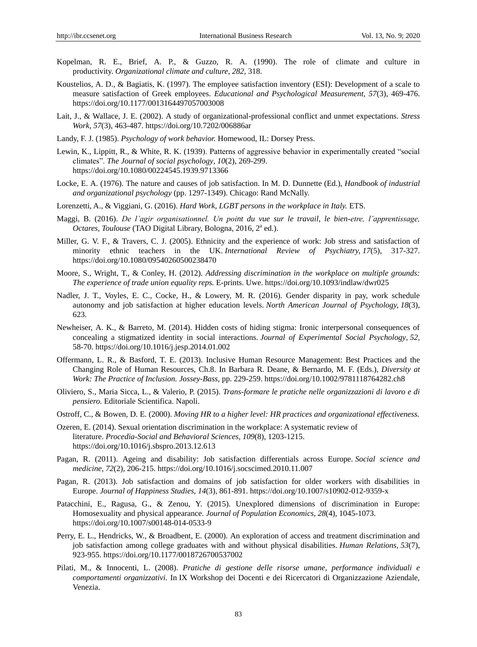- Kopelman, R. E., Brief, A. P., & Guzzo, R. A. (1990). The role of climate and culture in productivity. *Organizational climate and culture, 282,* 318.
- Koustelios, A. D., & Bagiatis, K. (1997). The employee satisfaction inventory (ESI): Development of a scale to measure satisfaction of Greek employees. *Educational and Psychological Measurement, 57*(3), 469-476. https://doi.org/10.1177/0013164497057003008
- Lait, J., & Wallace, J. E. (2002). A study of organizational-professional conflict and unmet expectations. *Stress Work, 57*(3), 463-487. https://doi.org/10.7202/006886ar
- Landy, F. J. (1985). *Psychology of work behavior.* Homewood, IL: Dorsey Press.
- Lewin, K., Lippitt, R., & White, R. K. (1939). Patterns of aggressive behavior in experimentally created "social climates". *The Journal of social psychology, 10*(2), 269-299. https://doi.org/10.1080/00224545.1939.9713366
- Locke, E. A. (1976). The nature and causes of job satisfaction. In M. D. Dunnette (Ed.), *Handbook of industrial and organizational psychology* (pp. 1297-1349). Chicago: Rand McNally.
- Lorenzetti, A., & Viggiani, G. (2016). *Hard Work, LGBT persons in the workplace in Italy.* ETS.
- Maggi, B. (2016). *De l'agir organisationnel. Un point du vue sur le travail, le bien-etre, l'apprentissage,*  Octares, Toulouse (TAO Digital Library, Bologna, 2016, 2<sup>ª</sup> ed.).
- Miller, G. V. F., & Travers, C. J. (2005). Ethnicity and the experience of work: Job stress and satisfaction of minority ethnic teachers in the UK. *International Review of Psychiatry, 17*(5), 317-327. https://doi.org/10.1080/09540260500238470
- Moore, S., Wright, T., & Conley, H. (2012). *Addressing discrimination in the workplace on multiple grounds: The experience of trade union equality reps.* E-prints. Uwe. https://doi.org/10.1093/indlaw/dwr025
- Nadler, J. T., Voyles, E. C., Cocke, H., & Lowery, M. R. (2016). Gender disparity in pay, work schedule autonomy and job satisfaction at higher education levels. *North American Journal of Psychology, 18*(3), 623.
- Newheiser, A. K., & Barreto, M. (2014). Hidden costs of hiding stigma: Ironic interpersonal consequences of concealing a stigmatized identity in social interactions. *Journal of Experimental Social Psychology, 52,*  58-70. https://doi.org/10.1016/j.jesp.2014.01.002
- Offermann, L. R., & Basford, T. E. (2013). Inclusive Human Resource Management: Best Practices and the Changing Role of Human Resources, Ch.8. In Barbara R. Deane, & Bernardo, M. F. (Eds.), *Diversity at Work: The Practice of Inclusion. Jossey-Bass,* pp. 229-259. https://doi.org/10.1002/9781118764282.ch8
- Oliviero, S., Maria Sicca, L., & Valerio, P. (2015). *Trans-formare le pratiche nelle organizzazioni di lavoro e di pensiero.* Editoriale Scientifica. Napoli.
- Ostroff, C., & Bowen, D. E. (2000). *Moving HR to a higher level: HR practices and organizational effectiveness.*
- Ozeren, E. (2014). Sexual orientation discrimination in the workplace: A systematic review of literature. *Procedia-Social and Behavioral Sciences, 109*(8), 1203-1215. https://doi.org/10.1016/j.sbspro.2013.12.613
- Pagan, R. (2011). Ageing and disability: Job satisfaction differentials across Europe. *Social science and medicine, 72*(2), 206-215. https://doi.org/10.1016/j.socscimed.2010.11.007
- Pagan, R. (2013). Job satisfaction and domains of job satisfaction for older workers with disabilities in Europe. *Journal of Happiness Studies, 14*(3), 861-891. https://doi.org/10.1007/s10902-012-9359-x
- Patacchini, E., Ragusa, G., & Zenou, Y. (2015). Unexplored dimensions of discrimination in Europe: Homosexuality and physical appearance. *Journal of Population Economics, 28*(4), 1045-1073. https://doi.org/10.1007/s00148-014-0533-9
- Perry, E. L., Hendricks, W., & Broadbent, E. (2000). An exploration of access and treatment discrimination and job satisfaction among college graduates with and without physical disabilities. *Human Relations, 53*(7), 923-955. https://doi.org/10.1177/0018726700537002
- Pilati, M., & Innocenti, L. (2008). *Pratiche di gestione delle risorse umane, performance individuali e comportamenti organizzativi.* In IX Workshop dei Docenti e dei Ricercatori di Organizzazione Aziendale, Venezia.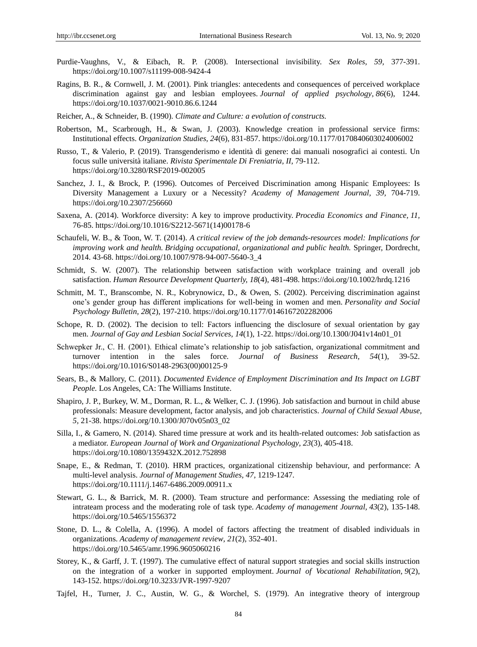- Purdie-Vaughns, V., & Eibach, R. P. (2008). Intersectional invisibility. *Sex Roles, 59,* 377-391. https://doi.org/10.1007/s11199-008-9424-4
- Ragins, B. R., & Cornwell, J. M. (2001). Pink triangles: antecedents and consequences of perceived workplace discrimination against gay and lesbian employees. *Journal of applied psychology, 86*(6), 1244. https://doi.org/10.1037/0021-9010.86.6.1244
- Reicher, A., & Schneider, B. (1990). *Climate and Culture: a evolution of constructs.*
- Robertson, M., Scarbrough, H., & Swan, J. (2003). Knowledge creation in professional service firms: Institutional effects. *Organization Studies, 24*(6), 831-857. https://doi.org/10.1177/0170840603024006002
- Russo, T., & Valerio, P. (2019). Transgenderismo e identità di genere: dai manuali nosografici ai contesti. Un focus sulle università italiane. *Rivista Sperimentale Di Freniatria, II,* 79-112. https://doi.org/10.3280/RSF2019-002005
- Sanchez, J. I., & Brock, P. (1996). Outcomes of Perceived Discrimination among Hispanic Employees: Is Diversity Management a Luxury or a Necessity? *Academy of Management Journal, 39,* 704-719. https://doi.org/10.2307/256660
- Saxena, A. (2014). Workforce diversity: A key to improve productivity. *Procedia Economics and Finance, 11,*  76-85. https://doi.org/10.1016/S2212-5671(14)00178-6
- Schaufeli, W. B., & Toon, W. T. (2014). *A critical review of the job demands-resources model: Implications for improving work and health. Bridging occupational, organizational and public health.* Springer, Dordrecht, 2014. 43-68. https://doi.org/10.1007/978-94-007-5640-3\_4
- Schmidt, S. W. (2007). The relationship between satisfaction with workplace training and overall job satisfaction. *Human Resource Development Quarterly, 18*(4), 481-498. https://doi.org/10.1002/hrdq.1216
- Schmitt, M. T., Branscombe, N. R., Kobrynowicz, D., & Owen, S. (2002). Perceiving discrimination against one"s gender group has different implications for well-being in women and men. *Personality and Social Psychology Bulletin, 28*(2), 197-210. https://doi.org/10.1177/0146167202282006
- Schope, R. D. (2002). The decision to tell: Factors influencing the disclosure of sexual orientation by gay men. *Journal of Gay and Lesbian Social Services, 14*(1), 1-22. https://doi.org/10.1300/J041v14n01\_01
- Schwepker Jr., C. H. (2001). Ethical climate's relationship to job satisfaction, organizational commitment and turnover intention in the sales force. *Journal of Business Research, 54*(1), 39-52. https://doi.org/10.1016/S0148-2963(00)00125-9
- Sears, B., & Mallory, C. (2011). *[Documented Evidence of Employment Discrimination and Its Impact on LGBT](http://williamsinstitute.law.ucla.edu/wp-content/uploads/Sears-Mallory-Discrimination-July-20111.pdf)  People.* [Los Angeles, CA: The Williams Institute.](http://williamsinstitute.law.ucla.edu/wp-content/uploads/Sears-Mallory-Discrimination-July-20111.pdf)
- Shapiro, J. P., Burkey, W. M., Dorman, R. L., & Welker, C. J. (1996). Job satisfaction and burnout in child abuse professionals: Measure development, factor analysis, and job characteristics. *Journal of Child Sexual Abuse, 5,* 21-38. https://doi.org/10.1300/J070v05n03\_02
- Silla, I., & Gamero, N. (2014). Shared time pressure at work and its health-related outcomes: Job satisfaction as a mediator. *European Journal of Work and Organizational Psychology, 23*(3), 405-418. https://doi.org/10.1080/1359432X.2012.752898
- Snape, E., & Redman, T. (2010). HRM practices, organizational citizenship behaviour, and performance: A multi-level analysis. *Journal of Management Studies, 47,* 1219-1247. https://doi.org/10.1111/j.1467-6486.2009.00911.x
- Stewart, G. L., & Barrick, M. R. (2000). Team structure and performance: Assessing the mediating role of intrateam process and the moderating role of task type. *Academy of management Journal, 43*(2), 135-148. https://doi.org/10.5465/1556372
- Stone, D. L., & Colella, A. (1996). A model of factors affecting the treatment of disabled individuals in organizations. *Academy of management review, 21*(2), 352-401. https://doi.org/10.5465/amr.1996.9605060216
- Storey, K., & Garff, J. T. (1997). The cumulative effect of natural support strategies and social skills instruction on the integration of a worker in supported employment. *Journal of Vocational Rehabilitation, 9*(2), 143-152. https://doi.org/10.3233/JVR-1997-9207
- Tajfel, H., Turner, J. C., Austin, W. G., & Worchel, S. (1979). An integrative theory of intergroup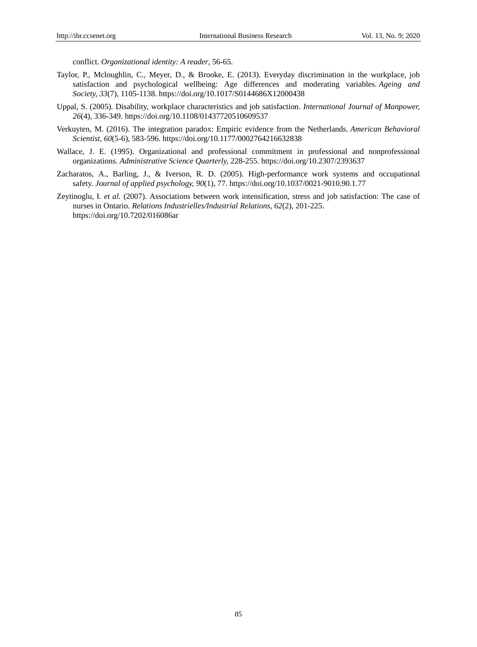conflict. *Organizational identity: A reader,* 56-65.

- Taylor, P., Mcloughlin, C., Meyer, D., & Brooke, E. (2013). Everyday discrimination in the workplace, job satisfaction and psychological wellbeing: Age differences and moderating variables. *Ageing and Society, 33*(7), 1105-1138. https://doi.org/10.1017/S0144686X12000438
- Uppal, S. (2005). Disability, workplace characteristics and job satisfaction. *International Journal of Manpower, 26*(4), 336-349. https://doi.org/10.1108/01437720510609537
- Verkuyten, M. (2016). The integration paradox: Empiric evidence from the Netherlands. *American Behavioral Scientist, 60*(5-6), 583-596. https://doi.org/10.1177/0002764216632838
- Wallace, J. E. (1995). Organizational and professional commitment in professional and nonprofessional organizations. *Administrative Science Quarterly,* 228-255. https://doi.org/10.2307/2393637
- Zacharatos, A., Barling, J., & Iverson, R. D. (2005). High-performance work systems and occupational safety. *Journal of applied psychology, 90*(1), 77. https://doi.org/10.1037/0021-9010.90.1.77
- Zeytinoglu, I. *et al.* (2007). Associations between work intensification, stress and job satisfaction: The case of nurses in Ontario. *Relations Industrielles/Industrial Relations, 62*(2), 201-225. https://doi.org/10.7202/016086ar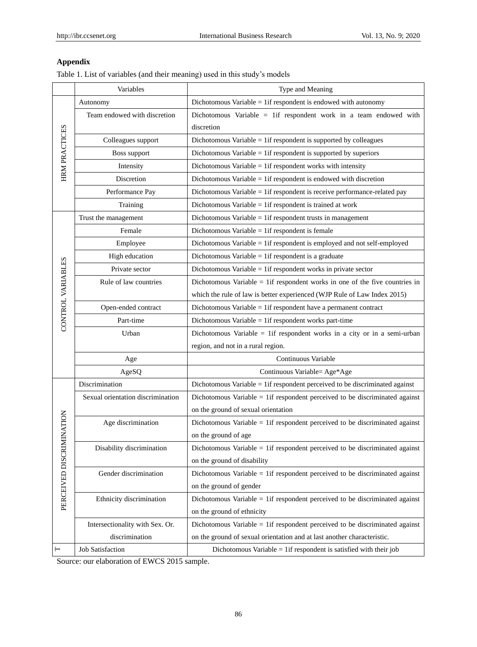# **Appendix**

Table 1. List of variables (and their meaning) used in this study"s models

|                   | Variables                         | Type and Meaning                                                              |  |  |  |  |  |
|-------------------|-----------------------------------|-------------------------------------------------------------------------------|--|--|--|--|--|
|                   | Autonomy                          | Dichotomous Variable $=$ 1 if respondent is endowed with autonomy             |  |  |  |  |  |
|                   | Team endowed with discretion      | Dichotomous Variable = 1if respondent work in a team endowed with             |  |  |  |  |  |
|                   |                                   | discretion                                                                    |  |  |  |  |  |
| HRM PRACTICES     | Colleagues support                | Dichotomous Variable $=$ 1 if respondent is supported by colleagues           |  |  |  |  |  |
|                   | Boss support                      | Dichotomous Variable $=$ 1 if respondent is supported by superiors            |  |  |  |  |  |
|                   | Intensity                         | Dichotomous Variable = $1$ if respondent works with intensity                 |  |  |  |  |  |
|                   | Discretion                        | Dichotomous Variable $=$ 1 if respondent is endowed with discretion           |  |  |  |  |  |
|                   | Performance Pay                   | Dichotomous Variable = 1if respondent is receive performance-related pay      |  |  |  |  |  |
|                   | Training                          | Dichotomous Variable = 1if respondent is trained at work                      |  |  |  |  |  |
|                   | Trust the management              | Dichotomous Variable = $1$ if respondent trusts in management                 |  |  |  |  |  |
|                   | Female                            | Dichotomous Variable $=$ 1 if respondent is female                            |  |  |  |  |  |
|                   | Employee                          | Dichotomous Variable = 1if respondent is employed and not self-employed       |  |  |  |  |  |
|                   | High education                    | Dichotomous Variable = $1$ if respondent is a graduate                        |  |  |  |  |  |
|                   | Private sector                    | Dichotomous Variable = $1$ if respondent works in private sector              |  |  |  |  |  |
|                   | Rule of law countries             | Dichotomous Variable $=$ 1if respondent works in one of the five countries in |  |  |  |  |  |
|                   |                                   | which the rule of law is better experienced (WJP Rule of Law Index 2015)      |  |  |  |  |  |
| CONTROL VARIABLES | Open-ended contract               | Dichotomous Variable = 1if respondent have a permanent contract               |  |  |  |  |  |
|                   | Part-time                         | Dichotomous Variable = 1if respondent works part-time                         |  |  |  |  |  |
|                   | Urban                             | Dichotomous Variable = 1if respondent works in a city or in a semi-urban      |  |  |  |  |  |
|                   |                                   | region, and not in a rural region.                                            |  |  |  |  |  |
|                   | Age                               | Continuous Variable                                                           |  |  |  |  |  |
|                   | AgeSQ                             | Continuous Variable= Age*Age                                                  |  |  |  |  |  |
|                   | Discrimination                    | Dichotomous Variable $=$ 1if respondent perceived to be discriminated against |  |  |  |  |  |
|                   | Sexual orientation discrimination | Dichotomous Variable = 1if respondent perceived to be discriminated against   |  |  |  |  |  |
|                   |                                   | on the ground of sexual orientation                                           |  |  |  |  |  |
| <b>INATION</b>    | Age discrimination                | Dichotomous Variable = 1if respondent perceived to be discriminated against   |  |  |  |  |  |
|                   |                                   | on the ground of age                                                          |  |  |  |  |  |
|                   | Disability discrimination         | Dichotomous Variable = 1if respondent perceived to be discriminated against   |  |  |  |  |  |
| PERCEIVED DISCRIM |                                   | on the ground of disability                                                   |  |  |  |  |  |
|                   | Gender discrimination             | Dichotomous Variable = 1if respondent perceived to be discriminated against   |  |  |  |  |  |
|                   |                                   | on the ground of gender                                                       |  |  |  |  |  |
|                   | Ethnicity discrimination          | Dichotomous Variable $=$ 1if respondent perceived to be discriminated against |  |  |  |  |  |
|                   |                                   | on the ground of ethnicity                                                    |  |  |  |  |  |
|                   | Intersectionality with Sex. Or.   | Dichotomous Variable $=$ 1if respondent perceived to be discriminated against |  |  |  |  |  |
|                   | discrimination                    | on the ground of sexual orientation and at last another characteristic.       |  |  |  |  |  |
| ⊢                 | <b>Job Satisfaction</b>           | Dichotomous Variable = 1 if respondent is satisfied with their job            |  |  |  |  |  |

Source: our elaboration of EWCS 2015 sample.